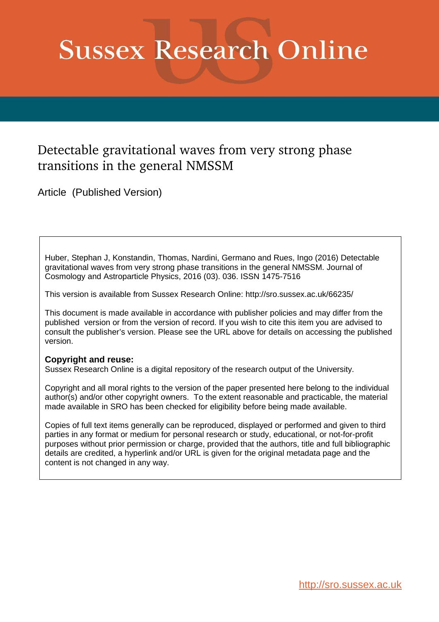# **Sussex Research Online**

### Detectable gravitational waves from very strong phase transitions in the general NMSSM

Article (Published Version)

Huber, Stephan J, Konstandin, Thomas, Nardini, Germano and Rues, Ingo (2016) Detectable gravitational waves from very strong phase transitions in the general NMSSM. Journal of Cosmology and Astroparticle Physics, 2016 (03). 036. ISSN 1475-7516

This version is available from Sussex Research Online: http://sro.sussex.ac.uk/66235/

This document is made available in accordance with publisher policies and may differ from the published version or from the version of record. If you wish to cite this item you are advised to consult the publisher's version. Please see the URL above for details on accessing the published version.

#### **Copyright and reuse:**

Sussex Research Online is a digital repository of the research output of the University.

Copyright and all moral rights to the version of the paper presented here belong to the individual author(s) and/or other copyright owners. To the extent reasonable and practicable, the material made available in SRO has been checked for eligibility before being made available.

Copies of full text items generally can be reproduced, displayed or performed and given to third parties in any format or medium for personal research or study, educational, or not-for-profit purposes without prior permission or charge, provided that the authors, title and full bibliographic details are credited, a hyperlink and/or URL is given for the original metadata page and the content is not changed in any way.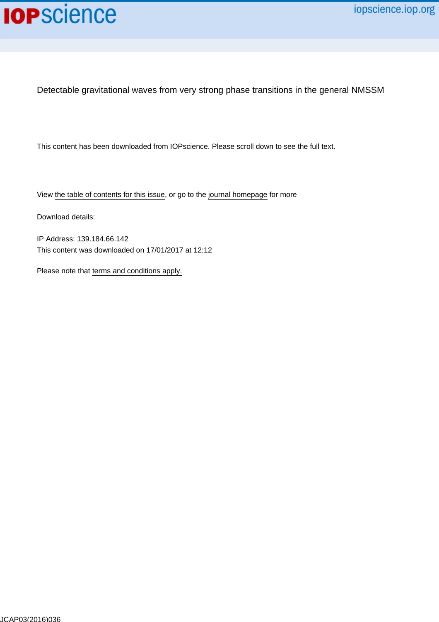## **IOP**science

Detectable gravitational waves from very strong phase transitions in the general NMSSM

This content has been downloaded from IOPscience. Please scroll down to see the full text.

View [the table of contents for this issue](http://iopscience.iop.org/1475-7516/2016/03), or go to the [journal homepage](http://iopscience.iop.org/1475-7516) for more

Download details:

IP Address: 139.184.66.142 This content was downloaded on 17/01/2017 at 12:12

Please note that [terms and conditions apply.](http://iopscience.iop.org/page/terms)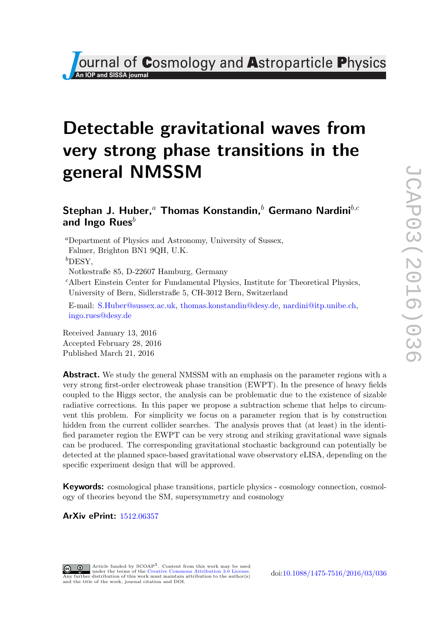ournal of Cosmology and Astroparticle Physics **JAn IOP and SISSA journal** 

## Detectable gravitational waves from very strong phase transitions in the general NMSSM

### Stephan J. Huber, $^a$  Thomas Konstandin, $^b$  Germano Nardini $^{b,c}$ and Ingo Rues $^b$

<sup>a</sup>Department of Physics and Astronomy, University of Sussex,

 ${}^b$ DESY,

Notkestraße 85, D-22607 Hamburg, Germany

<sup>c</sup>Albert Einstein Center for Fundamental Physics, Institute for Theoretical Physics, University of Bern, Sidlerstraße 5, CH-3012 Bern, Switzerland

<span id="page-2-0"></span>E-mail: [S.Huber@sussex.ac.uk](mailto:S.Huber@sussex.ac.uk) , [thomas.konstandin@desy.de](mailto:thomas.konstandin@desy.de) , [nardini@itp.unibe.ch](mailto:nardini@itp.unibe.ch) , [ingo.rues@desy.de](mailto:ingo.rues@desy.de)

Received January 13, 2016 Accepted February 28, 2016 Published March 21, 2016

Abstract. We study the general NMSSM with an emphasis on the parameter regions with a very strong first-order electroweak phase transition (EWPT). In the presence of heavy fields coupled to the Higgs sector, the analysis can be problematic due to the existence of sizable radiative corrections. In this paper we propose a subtraction scheme that helps to circumvent this problem. For simplicity we focus on a parameter region that is by construction hidden from the current collider searches. The analysis proves that (at least) in the identified parameter region the EWPT can be very strong and striking gravitational wave signals can be produced. The corresponding gravitational stochastic background can potentially be detected at the planned space-based gravitational wave observatory eLISA, depending on the specific experiment design that will be approved.

Keywords: cosmological phase transitions, particle physics - cosmology connection, cosmology of theories beyond the SM, supersymmetry and cosmology

ArXiv ePrint: [1512.06357](http://arxiv.org/abs/1512.06357)

Falmer, Brighton BN1 9QH, U.K.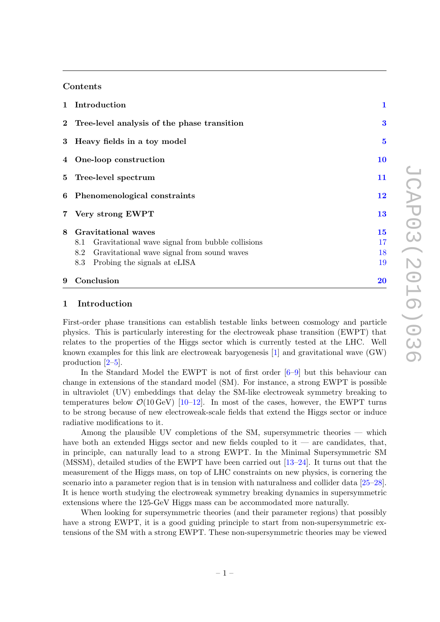#### Contents

|   | 1 Introduction                                          | $\mathbf{1}$ |
|---|---------------------------------------------------------|--------------|
|   | 2 Tree-level analysis of the phase transition           | 3            |
|   | 3 Heavy fields in a toy model                           | $\bf{5}$     |
|   | 4 One-loop construction                                 | 10           |
|   | 5 Tree-level spectrum                                   | 11           |
|   | 6 Phenomenological constraints                          | 12           |
|   | 7 Very strong EWPT                                      | 13           |
| 8 | Gravitational waves                                     | 15           |
|   | Gravitational wave signal from bubble collisions<br>8.1 | 17           |
|   | 8.2 Gravitational wave signal from sound waves          | 18           |
|   | 8.3 Probing the signals at eLISA                        | 19           |
| 9 | Conclusion                                              | 20           |

#### 1 Introduction

First-order phase transitions can establish testable links between cosmology and particle physics. This is particularly interesting for the electroweak phase transition (EWPT) that relates to the properties of the Higgs sector which is currently tested at the LHC. Well known examples for this link are electroweak baryogenesis [ [1\]](#page-23-0) and gravitational wave (GW) production [ [2](#page-23-1) – [5\]](#page-23-2).

In the Standard Model the EWPT is not of first order  $[6-9]$  $[6-9]$  $[6-9]$  $[6-9]$  but this behaviour can change in extensions of the standard model (SM). For instance, a strong EWPT is possible in ultraviolet (UV) embeddings that delay the SM-like electroweak symmetry breaking to temperatures below  $\mathcal{O}(10 \,\text{GeV})$  [\[10](#page-23-5)[–12\]](#page-23-6). In most of the cases, however, the EWPT turns to be strong because of new electroweak-scale fields that extend the Higgs sector or induce radiative modifications to it.

<span id="page-3-0"></span>Among the plausible UV completions of the SM, supersymmetric theories — which have both an extended Higgs sector and new fields coupled to it — are candidates, that, in principle, can naturally lead to a strong EWPT. In the Minimal Supersymmetric SM (MSSM), detailed studies of the EWPT have been carried out [\[13](#page-23-7) [–24\]](#page-24-0). It turns out that the measurement of the Higgs mass, on top of LHC constraints on new physics, is cornering the scenario into a parameter region that is in tension with naturalness and collider data [\[25](#page-24-1)[–28\]](#page-24-2). It is hence worth studying the electroweak symmetry breaking dynamics in supersymmetric extensions where the 125-GeV Higgs mass can be accommodated more naturally.

When looking for supersymmetric theories (and their parameter regions) that possibly have a strong EWPT, it is a good guiding principle to start from non-supersymmetric extensions of the SM with a strong EWPT. These non-supersymmetric theories may be viewed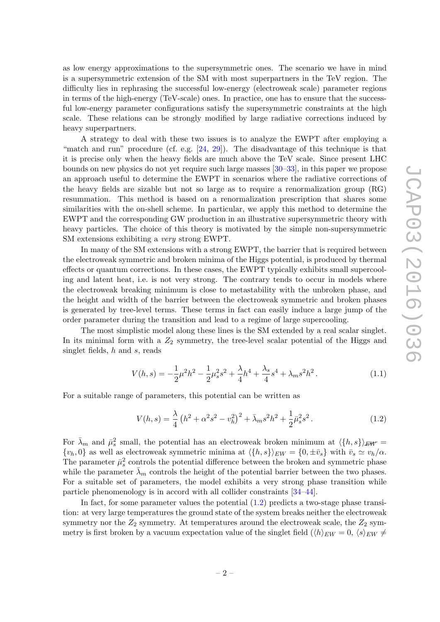as low energy approximations to the supersymmetric ones. The scenario we have in mind is a supersymmetric extension of the SM with most superpartners in the TeV region. The difficulty lies in rephrasing the successful low-energy (electroweak scale) parameter regions in terms of the high-energy (TeV-scale) ones. In practice, one has to ensure that the successful low-energy parameter configurations satisfy the supersymmetric constraints at the high scale. These relations can be strongly modified by large radiative corrections induced by heavy superpartners.

A strategy to deal with these two issues is to analyze the EWPT after employing a "match and run" procedure (cf. e.g.  $[24, 29]$  $[24, 29]$ ). The disadvantage of this technique is that it is precise only when the heavy fields are much above the TeV scale. Since present LHC bounds on new physics do not yet require such large masses [\[30](#page-24-4) [–33\]](#page-24-5), in this paper we propose an approach useful to determine the EWPT in scenarios where the radiative corrections of the heavy fields are sizable but not so large as to require a renormalization group (RG) resummation. This method is based on a renormalization prescription that shares some similarities with the on-shell scheme. In particular, we apply this method to determine the EWPT and the corresponding GW production in an illustrative supersymmetric theory with heavy particles. The choice of this theory is motivated by the simple non-supersymmetric SM extensions exhibiting a very strong EWPT.

In many of the SM extensions with a strong EWPT, the barrier that is required between the electroweak symmetric and broken minima of the Higgs potential, is produced by thermal effects or quantum corrections. In these cases, the EWPT typically exhibits small supercooling and latent heat, i.e. is not very strong. The contrary tends to occur in models where the electroweak breaking minimum is close to metastability with the unbroken phase, and the height and width of the barrier between the electroweak symmetric and broken phases is generated by tree-level terms. These terms in fact can easily induce a large jump of the order parameter during the transition and lead to a regime of large supercooling.

<span id="page-4-0"></span>The most simplistic model along these lines is the SM extended by a real scalar singlet. In its minimal form with a  $Z_2$  symmetry, the tree-level scalar potential of the Higgs and singlet fields, h and s, reads

$$
V(h,s) = -\frac{1}{2}\mu^2 h^2 - \frac{1}{2}\mu_s^2 s^2 + \frac{\lambda}{4}h^4 + \frac{\lambda_s}{4}s^4 + \lambda_m s^2 h^2.
$$
 (1.1)

For a suitable range of parameters, this potential can be written as

<span id="page-4-2"></span>
$$
V(h,s) = \frac{\lambda}{4} \left( h^2 + \alpha^2 s^2 - v_h^2 \right)^2 + \bar{\lambda}_m s^2 h^2 + \frac{1}{2} \bar{\mu}_s^2 s^2.
$$
 (1.2)

For  $\bar{\lambda}_m$  and  $\bar{\mu}_s^2$  small, the potential has an electroweak broken minimum at  $\langle \{h, s\} \rangle_{\cancel{EW}} =$  $\{v_h, 0\}$  as well as electroweak symmetric minima at  $\langle \{h, s\}\rangle_{EW} = \{0, \pm \bar{v}_s\}$  with  $\bar{v}_s \simeq v_h/\alpha$ . The parameter  $\bar{\mu}_{s}^{2}$  controls the potential difference between the broken and symmetric phase while the parameter  $\bar{\lambda}_m$  controls the height of the potential barrier between the two phases. For a suitable set of parameters, the model exhibits a very strong phase transition while particle phenomenology is in accord with all collider constraints [\[34](#page-24-6) [–44\]](#page-25-0).

<span id="page-4-1"></span>In fact, for some parameter values the potential  $(1.2)$  predicts a two-stage phase transition: at very large temperatures the ground state of the system breaks neither the electroweak symmetry nor the  $Z_2$  symmetry. At temperatures around the electroweak scale, the  $Z_2$  symmetry is first broken by a vacuum expectation value of the singlet field  $(\langle h \rangle_{EW} = 0, \langle s \rangle_{EW} \neq 0$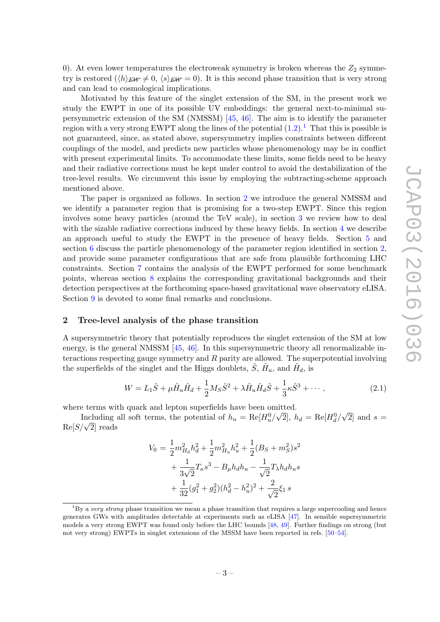0). At even lower temperatures the electroweak symmetry is broken whereas the  $Z_2$  symmetry is restored  $(\langle h \rangle_{EW} \neq 0, \langle s \rangle_{EW} = 0)$ . It is this second phase transition that is very strong and can lead to cosmological implications.

Motivated by this feature of the singlet extension of the SM, in the present work we study the EWPT in one of its possible UV embeddings: the general next-to-minimal supersymmetric extension of the SM (NMSSM) [\[45,](#page-25-1) [46\]](#page-25-2). The aim is to identify the parameter region with a very strong EWPT along the lines of the potential  $(1.2)$  $(1.2)$  $(1.2)$ .<sup>1</sup> That this is possible is not guaranteed, since, as stated above, supersymmetry implies constraints between different couplings of the model, and predicts new particles whose phenomenology may be in conflict with present experimental limits. To accommodate these limits, some fields need to be heavy and their radiative corrections must be kept under control to avoid the destabilization of the tree-level results. We circumvent this issue by employing the subtracting-scheme approach mentioned above.

The paper is organized as follows. In section [2](#page-4-0) we introduce the general NMSSM and we identify a parameter region that is promising for a two-step EWPT. Since this region involves some heavy particles (around the TeV scale), in section [3](#page-6-0) we review how to deal with the sizable radiative corrections induced by these heavy fields. In section [4](#page-11-0) we describe an approach useful to study the EWPT in the presence of heavy fields. Section [5](#page-12-0) and section [6](#page-13-0) discuss the particle phenomenology of the parameter region identified in section [2](#page-4-0), and provide some parameter configurations that are safe from plausible forthcoming LHC constraints. Section [7](#page-14-0) contains the analysis of the EWPT performed for some benchmark points, whereas section [8](#page-16-0) explains the corresponding gravitational backgrounds and their detection perspectives at the forthcoming space-based gravitational wave observatory eLISA. Section [9](#page-21-0) is devoted to some final remarks and conclusions.

#### <span id="page-5-0"></span>2 Tree-level analysis of the phase transition

A supersymmetric theory that potentially reproduces the singlet extension of the SM at low energy, is the general NMSSM  $[45, 46]$  $[45, 46]$ . In this supersymmetric theory all renormalizable interactions respecting gauge symmetry and  $R$  parity are allowed. The superpotential involving the superfields of the singlet and the Higgs doublets,  $\hat{S}$ ,  $\hat{H}_u$ , and  $\hat{H}_d$ , is

$$
W = L_1 \hat{S} + \mu \hat{H}_u \hat{H}_d + \frac{1}{2} M_S \hat{S}^2 + \lambda \hat{H}_u \hat{H}_d \hat{S} + \frac{1}{3} \kappa \hat{S}^3 + \cdots,
$$
 (2.1)

where terms with quark and lepton superfields have been omitted.

Including all soft terms, the potential of  $h_u = \text{Re}[H_u^0/\sqrt{2}]$ ,  $h_d = \text{Re}[H_d^0/\sqrt{2}]$  and  $s =$  $\text{Re}[S/\sqrt{2}]$  reads

<span id="page-5-2"></span>
$$
V_0 = \frac{1}{2} m_{H_d}^2 h_d^2 + \frac{1}{2} m_{H_u}^2 h_u^2 + \frac{1}{2} (B_S + m_S^2) s^2
$$
  
+ 
$$
\frac{1}{3\sqrt{2}} T_{\kappa} s^3 - B_{\mu} h_d h_u - \frac{1}{\sqrt{2}} T_{\lambda} h_d h_u s
$$
  
+ 
$$
\frac{1}{32} (g_1^2 + g_2^2)(h_d^2 - h_u^2)^2 + \frac{2}{\sqrt{2}} \xi_1 s
$$

<span id="page-5-1"></span> $1By$  a very strong phase transition we mean a phase transition that requires a large supercooling and hence generates GWs with amplitudes detectable at experiments such as eLISA [\[47\]](#page-25-3). In sensible supersymmetric models a very strong EWPT was found only before the LHC bounds [\[48](#page-25-4) , [49\]](#page-25-5). Further findings on strong (but not very strong) EWPTs in singlet extensions of the MSSM have been reported in refs. [\[50](#page-25-6)[–54\]](#page-25-7).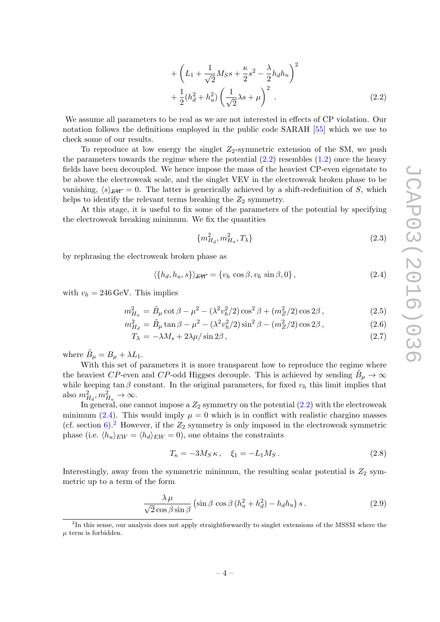<span id="page-6-1"></span>
$$
+\left(L_{1}+\frac{1}{\sqrt{2}}M_{S}s+\frac{\kappa}{2}s^{2}-\frac{\lambda}{2}h_{d}h_{u}\right)^{2} + \frac{1}{2}(h_{d}^{2}+h_{u}^{2})\left(\frac{1}{\sqrt{2}}\lambda s+\mu\right)^{2}.
$$
\n(2.2)

We assume all parameters to be real as we are not interested in effects of CP violation. Our notation follows the definitions employed in the public code SARAH [\[55\]](#page-25-8) which we use to check some of our results.

To reproduce at low energy the singlet  $Z_2$ -symmetric extension of the SM, we push the parameters towards the regime where the potential  $(2.2)$  resembles  $(1.2)$  once the heavy fields have been decoupled. We hence impose the mass of the heaviest CP-even eigenstate to be above the electroweak scale, and the singlet VEV in the electroweak broken phase to be vanishing,  $\langle s \rangle_{\text{EW}} = 0$ . The latter is generically achieved by a shift-redefinition of S, which helps to identify the relevant terms breaking the  $Z_2$  symmetry.

At this stage, it is useful to fix some of the parameters of the potential by specifying the electroweak breaking minimum. We fix the quantities

$$
\{m_{H_d}^2, m_{H_u}^2, T_\lambda\} \tag{2.3}
$$

by rephrasing the electroweak broken phase as

<span id="page-6-2"></span>
$$
\langle \{h_d, h_u, s\} \rangle_{\text{EW}} = \{v_h \cos \beta, v_h \sin \beta, 0\},\tag{2.4}
$$

with  $v_h = 246 \,\text{GeV}$ . This implies

$$
m_{H_u}^2 = \tilde{B}_{\mu} \cot \beta - \mu^2 - (\lambda^2 v_h^2 / 2) \cos^2 \beta + (m_Z^2 / 2) \cos 2\beta, \qquad (2.5)
$$

$$
m_{H_d}^2 = \tilde{B}_{\mu} \tan \beta - \mu^2 - (\lambda^2 v_h^2 / 2) \sin^2 \beta - (m_Z^2 / 2) \cos 2\beta, \qquad (2.6)
$$

$$
T_{\lambda} = -\lambda M_s + 2\lambda \mu / \sin 2\beta, \qquad (2.7)
$$

where  $\tilde{B}_{\mu} = B_{\mu} + \lambda L_1$ .

With this set of parameters it is more transparent how to reproduce the regime where the heaviest CP-even and CP-odd Higgses decouple. This is achieved by sending  $\tilde{B}_{\mu} \to \infty$ while keeping tan  $\beta$  constant. In the original parameters, for fixed  $v_h$  this limit implies that also  $m_{H_d}^2, m_{H_u}^2 \to \infty$ .

In general, one cannot impose a  $Z_2$  symmetry on the potential  $(2.2)$  with the electroweak minimum [\(2.4\)](#page-5-0). This would imply  $\mu = 0$  which is in conflict with realistic chargino masses (cf. section  $6$ ).<sup>[2](#page-5-1)</sup> However, if the  $Z_2$  symmetry is only imposed in the electroweak symmetric phase (i.e.  $\langle h_u \rangle_{EW} = \langle h_d \rangle_{EW} = 0$ ), one obtains the constraints

$$
T_{\kappa} = -3M_S \kappa, \quad \xi_1 = -L_1 M_S. \tag{2.8}
$$

Interestingly, away from the symmetric minimum, the resulting scalar potential is  $Z_2$  symmetric up to a term of the form

$$
\frac{\lambda \mu}{\sqrt{2} \cos \beta \sin \beta} \left( \sin \beta \cos \beta \left( h_u^2 + h_d^2 \right) - h_d h_u \right) s \,. \tag{2.9}
$$

<span id="page-6-0"></span><sup>&</sup>lt;sup>2</sup>In this sense, our analysis does not apply straightforwardly to singlet extensions of the MSSM where the  $\mu$  term is forbidden.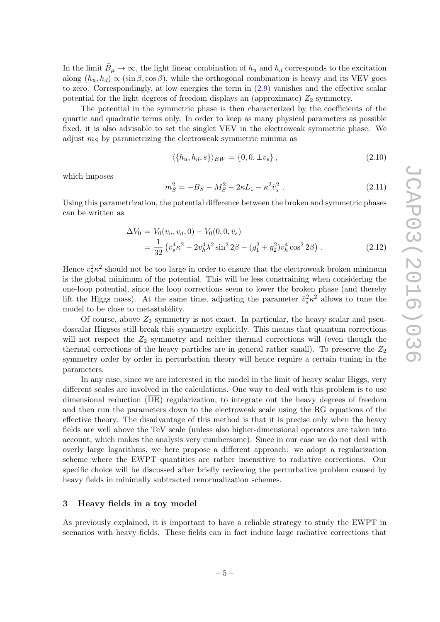In the limit  $\tilde{B}_{\mu} \to \infty$ , the light linear combination of  $h_u$  and  $h_d$  corresponds to the excitation along  $(h_u, h_d) \propto (\sin \beta, \cos \beta)$ , while the orthogonal combination is heavy and its VEV goes to zero. Correspondingly, at low energies the term in [\(2.9\)](#page-5-2) vanishes and the effective scalar potential for the light degrees of freedom displays an (approximate)  $Z_2$  symmetry.

<span id="page-7-1"></span>The potential in the symmetric phase is then characterized by the coefficients of the quartic and quadratic terms only. In order to keep as many physical parameters as possible fixed, it is also advisable to set the singlet VEV in the electroweak symmetric phase. We adjust  $m_S$  by parametrizing the electroweak symmetric minima as

$$
\langle \{h_u, h_d, s\} \rangle_{EW} = \{0, 0, \pm \bar{v}_s\},\tag{2.10}
$$

which imposes

$$
m_S^2 = -B_S - M_S^2 - 2\kappa L_1 - \kappa^2 \bar{v}_s^2 \ . \tag{2.11}
$$

Using this parametrization, the potential difference between the broken and symmetric phases can be written as

$$
\Delta V_0 = V_0(v_u, v_d, 0) - V_0(0, 0, \bar{v}_s)
$$
  
= 
$$
\frac{1}{32} \left( \bar{v}_s^4 \kappa^2 - 2v_h^4 \lambda^2 \sin^2 2\beta - (g_1^2 + g_2^2) v_h^4 \cos^2 2\beta \right).
$$
 (2.12)

Hence  $\bar{v}_s^2 \kappa^2$  should not be too large in order to ensure that the electroweak broken minimum is the global minimum of the potential. This will be less constraining when considering the one-loop potential, since the loop corrections seem to lower the broken phase (and thereby lift the Higgs mass). At the same time, adjusting the parameter  $\bar{v}_s^2 \kappa^2$  allows to tune the model to be close to metastability.

Of course, above  $Z_2$  symmetry is not exact. In particular, the heavy scalar and pseudoscalar Higgses still break this symmetry explicitly. This means that quantum corrections will not respect the  $Z_2$  symmetry and neither thermal corrections will (even though the thermal corrections of the heavy particles are in general rather small). To preserve the  $Z_2$ symmetry order by order in perturbation theory will hence require a certain tuning in the parameters.

<span id="page-7-2"></span>In any case, since we are interested in the model in the limit of heavy scalar Higgs, very different scales are involved in the calculations. One way to deal with this problem is to use dimensional reduction (DR) regularization, to integrate out the heavy degrees of freedom and then run the parameters down to the electroweak scale using the RG equations of the effective theory. The disadvantage of this method is that it is precise only when the heavy fields are well above the TeV scale (unless also higher-dimensional operators are taken into account, which makes the analysis very cumbersome). Since in our case we do not deal with overly large logarithms, we here propose a different approach: we adopt a regularization scheme where the EWPT quantities are rather insensitive to radiative corrections. Our specific choice will be discussed after briefly reviewing the perturbative problem caused by heavy fields in minimally subtracted renormalization schemes.

#### 3 Heavy fields in a toy model

<span id="page-7-0"></span>As previously explained, it is important to have a reliable strategy to study the EWPT in scenarios with heavy fields. These fields can in fact induce large radiative corrections that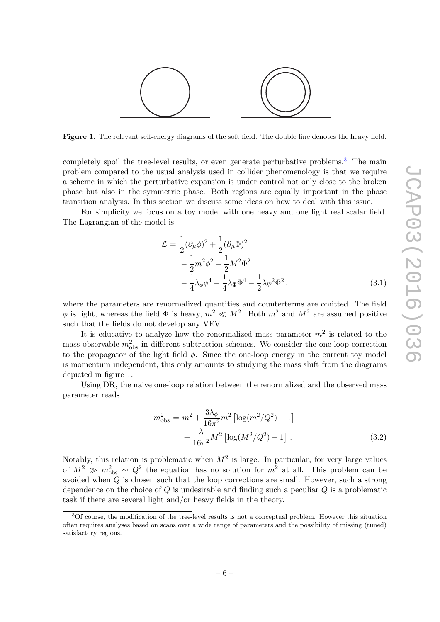<span id="page-8-3"></span>

Figure 1. The relevant self-energy diagrams of the soft field. The double line denotes the heavy field.

completely spoil the tree-level results, or even generate perturbative problems. [3](#page-7-0) The main problem compared to the usual analysis used in collider phenomenology is that we require a scheme in which the perturbative expansion is under control not only close to the broken phase but also in the symmetric phase. Both regions are equally important in the phase transition analysis. In this section we discuss some ideas on how to deal with this issue.

For simplicity we focus on a toy model with one heavy and one light real scalar field. The Lagrangian of the model is

<span id="page-8-2"></span><span id="page-8-0"></span>
$$
\mathcal{L} = \frac{1}{2} (\partial_{\mu} \phi)^{2} + \frac{1}{2} (\partial_{\mu} \Phi)^{2} \n- \frac{1}{2} m^{2} \phi^{2} - \frac{1}{2} M^{2} \Phi^{2} \n- \frac{1}{4} \lambda_{\phi} \phi^{4} - \frac{1}{4} \lambda_{\Phi} \Phi^{4} - \frac{1}{2} \lambda \phi^{2} \Phi^{2} ,
$$
\n(3.1)

where the parameters are renormalized quantities and counterterms are omitted. The field  $\phi$  is light, whereas the field  $\Phi$  is heavy,  $m^2 \ll M^2$ . Both  $m^2$  and  $M^2$  are assumed positive such that the fields do not develop any VEV.

It is educative to analyze how the renormalized mass parameter  $m^2$  is related to the mass observable  $m_{\text{obs}}^2$  in different subtraction schemes. We consider the one-loop correction to the propagator of the light field  $\phi$ . Since the one-loop energy in the current toy model is momentum independent, this only amounts to studying the mass shift from the diagrams depicted in figure [1](#page-7-1) .

Using  $\overline{DR}$ , the naive one-loop relation between the renormalized and the observed mass parameter reads

m

<span id="page-8-1"></span>
$$
m_{\text{obs}}^2 = m^2 + \frac{3\lambda_{\phi}}{16\pi^2} m^2 \left[ \log(m^2/Q^2) - 1 \right] + \frac{\lambda}{16\pi^2} M^2 \left[ \log(M^2/Q^2) - 1 \right]. \tag{3.2}
$$

Notably, this relation is problematic when  $M^2$  is large. In particular, for very large values of  $M^2 \gg m_{\text{obs}}^2 \sim Q^2$  the equation has no solution for  $m^2$  at all. This problem can be avoided when Q is chosen such that the loop corrections are small. However, such a strong dependence on the choice of  $Q$  is undesirable and finding such a peculiar  $Q$  is a problematic task if there are several light and/or heavy fields in the theory.

<sup>3</sup>Of course, the modification of the tree-level results is not a conceptual problem. However this situation often requires analyses based on scans over a wide range of parameters and the possibility of missing (tuned) satisfactory regions.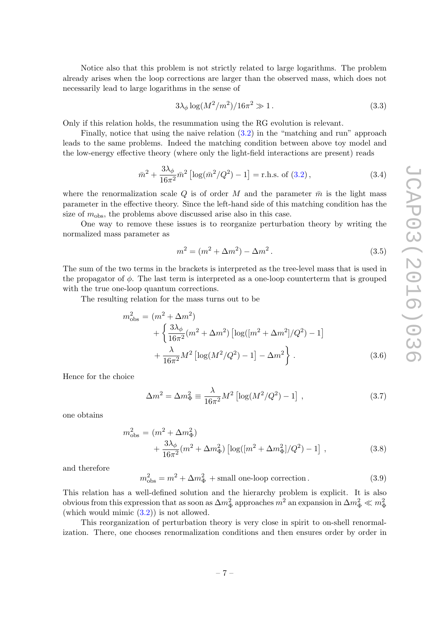Notice also that this problem is not strictly related to large logarithms. The problem already arises when the loop corrections are larger than the observed mass, which does not necessarily lead to large logarithms in the sense of

$$
3\lambda_{\phi} \log(M^2/m^2)/16\pi^2 \gg 1. \tag{3.3}
$$

Only if this relation holds, the resummation using the RG evolution is relevant.

Finally, notice that using the naive relation [\(3.2\)](#page-7-2) in the "matching and run" approach leads to the same problems. Indeed the matching condition between above toy model and the low-energy effective theory (where only the light-field interactions are present) reads

<span id="page-9-0"></span>
$$
\bar{m}^2 + \frac{3\lambda_{\phi}}{16\pi^2} \bar{m}^2 \left[ \log(\bar{m}^2/Q^2) - 1 \right] = \text{r.h.s. of (3.2)},\tag{3.4}
$$

where the renormalization scale Q is of order M and the parameter  $\bar{m}$  is the light mass parameter in the effective theory. Since the left-hand side of this matching condition has the size of  $m_{\text{obs}}$ , the problems above discussed arise also in this case.

One way to remove these issues is to reorganize perturbation theory by writing the normalized mass parameter as

$$
m^2 = (m^2 + \Delta m^2) - \Delta m^2.
$$
 (3.5)

The sum of the two terms in the brackets is interpreted as the tree-level mass that is used in the propagator of  $\phi$ . The last term is interpreted as a one-loop counterterm that is grouped with the true one-loop quantum corrections.

The resulting relation for the mass turns out to be

$$
m_{\text{obs}}^2 = (m^2 + \Delta m^2) + \left\{ \frac{3\lambda_{\phi}}{16\pi^2} (m^2 + \Delta m^2) \left[ \log((m^2 + \Delta m^2)/Q^2) - 1 \right] + \frac{\lambda}{16\pi^2} M^2 \left[ \log(M^2/Q^2) - 1 \right] - \Delta m^2 \right\}.
$$
 (3.6)

Hence for the choice

$$
\Delta m^2 = \Delta m_{\Phi}^2 \equiv \frac{\lambda}{16\pi^2} M^2 \left[ \log(M^2/Q^2) - 1 \right] \,, \tag{3.7}
$$

one obtains

$$
m_{\text{obs}}^2 = (m^2 + \Delta m_{\Phi}^2) + \frac{3\lambda_{\phi}}{16\pi^2} (m^2 + \Delta m_{\Phi}^2) \left[ \log([m^2 + \Delta m_{\Phi}^2]/Q^2) - 1 \right],
$$
 (3.8)

and therefore

$$
m_{\text{obs}}^2 = m^2 + \Delta m_{\Phi}^2 + \text{small one-loop correction}.
$$
 (3.9)

This relation has a well-defined solution and the hierarchy problem is explicit. It is also obvious from this expression that as soon as  $\Delta m^2_\Phi$  approaches  $m^2$  an expansion in  $\Delta m^2_\Phi \ll m^2_\Phi$ (which would mimic  $(3.2)$ ) is not allowed.

<span id="page-9-1"></span>This reorganization of perturbation theory is very close in spirit to on-shell renormalization. There, one chooses renormalization conditions and then ensures order by order in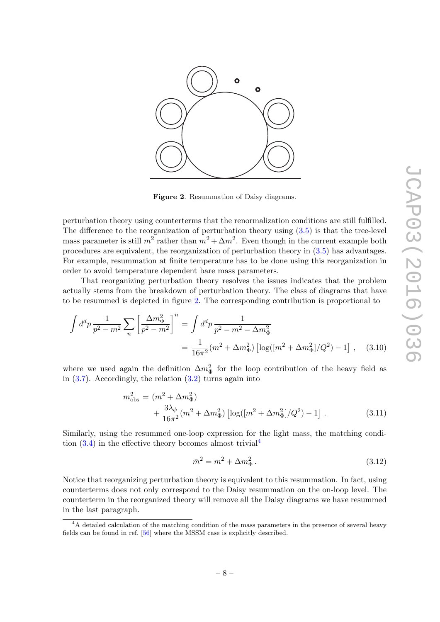

<span id="page-10-0"></span>Figure 2. Resummation of Daisy diagrams.

perturbation theory using counterterms that the renormalization conditions are still fulfilled. The difference to the reorganization of perturbation theory using [\(3.5\)](#page-8-0) is that the tree-level mass parameter is still  $m^2$  rather than  $m^2 + \Delta m^2$ . Even though in the current example both procedures are equivalent, the reorganization of perturbation theory in [\(3.5\)](#page-8-0) has advantages. For example, resummation at finite temperature has to be done using this reorganization in order to avoid temperature dependent bare mass parameters.

That reorganizing perturbation theory resolves the issues indicates that the problem actually stems from the breakdown of perturbation theory. The class of diagrams that have to be resummed is depicted in figure [2.](#page-9-0) The corresponding contribution is proportional to

$$
\int d^dp \frac{1}{p^2 - m^2} \sum_n \left[ \frac{\Delta m_\Phi^2}{p^2 - m^2} \right]^n = \int d^dp \frac{1}{p^2 - m^2 - \Delta m_\Phi^2}
$$
  
= 
$$
\frac{1}{16\pi^2} (m^2 + \Delta m_\Phi^2) \left[ \log([m^2 + \Delta m_\Phi^2]/Q^2) - 1 \right], \quad (3.10)
$$

where we used again the definition  $\Delta m_{\Phi}^2$  for the loop contribution of the heavy field as in  $(3.7)$ . Accordingly, the relation  $(3.2)$  turns again into

$$
m_{\text{obs}}^2 = (m^2 + \Delta m_{\Phi}^2) + \frac{3\lambda_{\phi}}{16\pi^2} (m^2 + \Delta m_{\Phi}^2) \left[ \log((m^2 + \Delta m_{\Phi}^2)/Q^2) - 1 \right]. \tag{3.11}
$$

Similarly, using the resummed one-loop expression for the light mass, the matching condition  $(3.4)$  $(3.4)$  $(3.4)$  in the effective theory becomes almost trivial<sup>4</sup>

$$
\bar{m}^2 = m^2 + \Delta m^2_{\Phi} \,. \tag{3.12}
$$

Notice that reorganizing perturbation theory is equivalent to this resummation. In fact, using counterterms does not only correspond to the Daisy resummation on the on-loop level. The counterterm in the reorganized theory will remove all the Daisy diagrams we have resummed in the last paragraph.

<sup>&</sup>lt;sup>4</sup>A detailed calculation of the matching condition of the mass parameters in the presence of several heavy fields can be found in ref. [\[56\]](#page-25-9) where the MSSM case is explicitly described.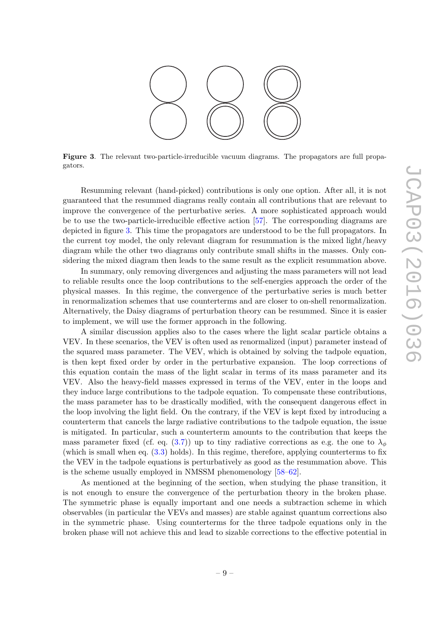

<span id="page-11-0"></span>gators. Figure 3. The relevant two-particle-irreducible vacuum diagrams. The propagators are full propa-

<span id="page-11-1"></span>Resumming relevant (hand-picked) contributions is only one option. After all, it is not guaranteed that the resummed diagrams really contain all contributions that are relevant to improve the convergence of the perturbative series. A more sophisticated approach would be to use the two-particle-irreducible effective action [\[57\]](#page-25-10). The corresponding diagrams are depicted in figure [3.](#page-10-0) This time the propagators are understood to be the full propagators. In the current toy model, the only relevant diagram for resummation is the mixed light/heavy diagram while the other two diagrams only contribute small shifts in the masses. Only considering the mixed diagram then leads to the same result as the explicit resummation above.

In summary, only removing divergences and adjusting the mass parameters will not lead to reliable results once the loop contributions to the self-energies approach the order of the physical masses. In this regime, the convergence of the perturbative series is much better in renormalization schemes that use counterterms and are closer to on-shell renormalization. Alternatively, the Daisy diagrams of perturbation theory can be resummed. Since it is easier to implement, we will use the former approach in the following.

A similar discussion applies also to the cases where the light scalar particle obtains a VEV. In these scenarios, the VEV is often used as renormalized (input) parameter instead of the squared mass parameter. The VEV, which is obtained by solving the tadpole equation, is then kept fixed order by order in the perturbative expansion. The loop corrections of this equation contain the mass of the light scalar in terms of its mass parameter and its VEV. Also the heavy-field masses expressed in terms of the VEV, enter in the loops and they induce large contributions to the tadpole equation. To compensate these contributions, the mass parameter has to be drastically modified, with the consequent dangerous effect in the loop involving the light field. On the contrary, if the VEV is kept fixed by introducing a counterterm that cancels the large radiative contributions to the tadpole equation, the issue is mitigated. In particular, such a counterterm amounts to the contribution that keeps the mass parameter fixed (cf. eq. [\(3.7\)](#page-8-1)) up to tiny radiative corrections as e.g. the one to  $\lambda_{\phi}$ (which is small when eq.  $(3.3)$  holds). In this regime, therefore, applying counterterms to fix the VEV in the tadpole equations is perturbatively as good as the resummation above. This is the scheme usually employed in NMSSM phenomenology [\[58](#page-25-11) [–62\]](#page-26-0).

As mentioned at the beginning of the section, when studying the phase transition, it is not enough to ensure the convergence of the perturbation theory in the broken phase. The symmetric phase is equally important and one needs a subtraction scheme in which observables (in particular the VEVs and masses) are stable against quantum corrections also in the symmetric phase. Using counterterms for the three tadpole equations only in the broken phase will not achieve this and lead to sizable corrections to the effective potential in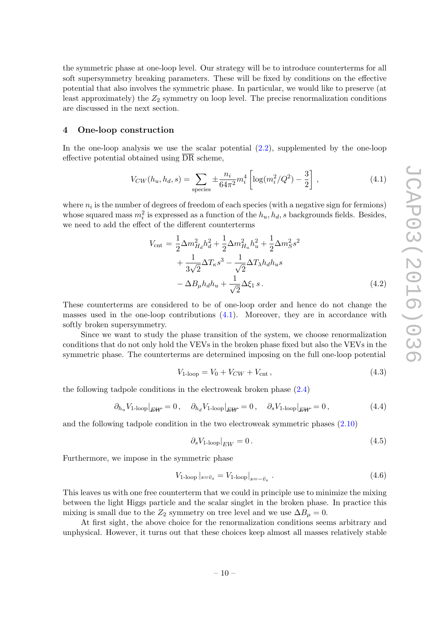the symmetric phase at one-loop level. Our strategy will be to introduce counterterms for all soft supersymmetry breaking parameters. These will be fixed by conditions on the effective potential that also involves the symmetric phase. In particular, we would like to preserve (at least approximately) the  $Z_2$  symmetry on loop level. The precise renormalization conditions are discussed in the next section.

#### <span id="page-12-0"></span>4 One-loop construction

In the one-loop analysis we use the scalar potential [\(2.2\)](#page-4-2), supplemented by the one-loop effective potential obtained using  $\overline{DR}$  scheme,

<span id="page-12-1"></span>
$$
V_{CW}(h_u, h_d, s) = \sum_{\text{species}} \pm \frac{n_i}{64\pi^2} m_i^4 \left[ \log(m_i^2/Q^2) - \frac{3}{2} \right],\tag{4.1}
$$

where  $n_i$  is the number of degrees of freedom of each species (with a negative sign for fermions) whose squared mass  $m_i^2$  is expressed as a function of the  $h_u, h_d, s$  backgrounds fields. Besides, we need to add the effect of the different counterterms

$$
V_{\text{cnt}} = \frac{1}{2} \Delta m_{H_d}^2 h_d^2 + \frac{1}{2} \Delta m_{H_u}^2 h_u^2 + \frac{1}{2} \Delta m_S^2 s^2
$$
  
+ 
$$
\frac{1}{3\sqrt{2}} \Delta T_{\kappa} s^3 - \frac{1}{\sqrt{2}} \Delta T_{\lambda} h_d h_u s
$$
  
- 
$$
\Delta B_{\mu} h_d h_u + \frac{1}{\sqrt{2}} \Delta \xi_1 s.
$$
 (4.2)

These counterterms are considered to be of one-loop order and hence do not change the masses used in the one-loop contributions  $(4.1)$ . Moreover, they are in accordance with softly broken supersymmetry.

Since we want to study the phase transition of the system, we choose renormalization conditions that do not only hold the VEVs in the broken phase fixed but also the VEVs in the symmetric phase. The counterterms are determined imposing on the full one-loop potential

$$
V_{1\text{-loop}} = V_0 + V_{CW} + V_{\text{cnt}}\,,\tag{4.3}
$$

the following tadpole conditions in the electroweak broken phase [\(2.4](#page-5-0) )

<span id="page-12-2"></span>
$$
\partial_{h_u} V_{1\text{-loop}}|_{\cancel{EW}} = 0, \quad \partial_{h_d} V_{1\text{-loop}}|_{\cancel{EW}} = 0, \quad \partial_s V_{1\text{-loop}}|_{\cancel{EW}} = 0,\tag{4.4}
$$

and the following tadpole condition in the two electroweak symmetric phases [\(2.10](#page-6-1) )

$$
\partial_s V_{1\text{-loop}}|_{EW} = 0. \tag{4.5}
$$

Furthermore, we impose in the symmetric phase

$$
V_{1\text{-loop}}|_{s=\bar{v}_s} = V_{1\text{-loop}}|_{s=-\bar{v}_s} \tag{4.6}
$$

This leaves us with one free counterterm that we could in principle use to minimize the mixing between the light Higgs particle and the scalar singlet in the broken phase. In practice this mixing is small due to the  $Z_2$  symmetry on tree level and we use  $\Delta B_{\mu} = 0$ .

At first sight, the above choice for the renormalization conditions seems arbitrary and unphysical. However, it turns out that these choices keep almost all masses relatively stable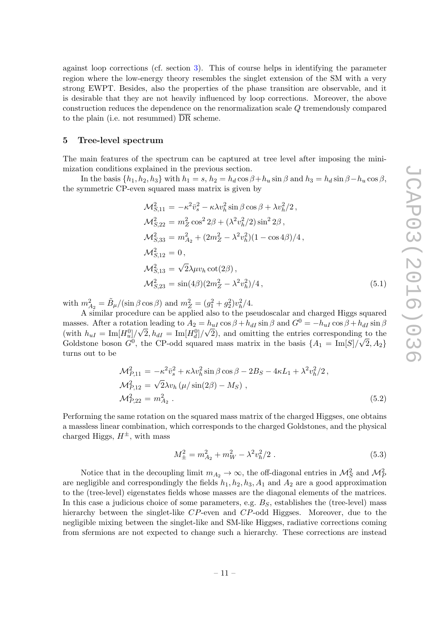against loop corrections (cf. section [3\)](#page-6-0). This of course helps in identifying the parameter region where the low-energy theory resembles the singlet extension of the SM with a very strong EWPT. Besides, also the properties of the phase transition are observable, and it is desirable that they are not heavily influenced by loop corrections. Moreover, the above construction reduces the dependence on the renormalization scale Q tremendously compared to the plain (i.e. not resummed)  $\overline{DR}$  scheme.

#### 5 Tree-level spectrum

The main features of the spectrum can be captured at tree level after imposing the minimization conditions explained in the previous section.

In the basis  $\{h_1, h_2, h_3\}$  with  $h_1 = s$ ,  $h_2 = h_d \cos \beta + h_u \sin \beta$  and  $h_3 = h_d \sin \beta - h_u \cos \beta$ , the symmetric CP-even squared mass matrix is given by

<span id="page-13-2"></span>
$$
\mathcal{M}_{S,11}^{2} = -\kappa^{2} \bar{v}_{s}^{2} - \kappa \lambda v_{h}^{2} \sin \beta \cos \beta + \lambda v_{h}^{2}/2, \n\mathcal{M}_{S,22}^{2} = m_{Z}^{2} \cos^{2} 2\beta + (\lambda^{2} v_{h}^{2}/2) \sin^{2} 2\beta, \n\mathcal{M}_{S,33}^{2} = m_{A_{2}}^{2} + (2m_{Z}^{2} - \lambda^{2} v_{h}^{2})(1 - \cos 4\beta)/4, \n\mathcal{M}_{S,12}^{2} = 0, \n\mathcal{M}_{S,13}^{2} = \sqrt{2} \lambda \mu v_{h} \cot(2\beta), \n\mathcal{M}_{S,23}^{2} = \sin(4\beta)(2m_{Z}^{2} - \lambda^{2} v_{h}^{2})/4,
$$
\n(5.1)

with  $m_{A_2}^2 = \tilde{B}_{\mu}/(\sin \beta \cos \beta)$  and  $m_Z^2 = (g_1^2 + g_2^2)v_h^2/4$ .

<span id="page-13-0"></span>A similar procedure can be applied also to the pseudoscalar and charged Higgs squared masses. After a rotation leading to  $A_2 = h_{uI} \cos \beta + h_{dI} \sin \beta$  and  $G^0 = -h_{uI} \cos \beta + h_{dI} \sin \beta$ (with  $h_{uI} = \text{Im}[H_u^0]/\sqrt{2}$ ,  $h_{dI} = \text{Im}[H_d^0]/\sqrt{2}$ ), and omitting the entries corresponding to the Goldstone boson  $G^0$ , the CP-odd squared mass matrix in the basis  $\{A_1 = \text{Im}[S]/\sqrt{2}, A_2\}$ turns out to be

$$
\mathcal{M}_{P,11}^2 = -\kappa^2 \bar{v}_s^2 + \kappa \lambda v_h^2 \sin \beta \cos \beta - 2B_S - 4\kappa L_1 + \lambda^2 v_h^2 / 2 ,
$$
  
\n
$$
\mathcal{M}_{P,12}^2 = \sqrt{2} \lambda v_h \left( \mu / \sin(2\beta) - M_S \right) ,
$$
  
\n
$$
\mathcal{M}_{P,22}^2 = m_{A_2}^2 .
$$
\n(5.2)

Performing the same rotation on the squared mass matrix of the charged Higgses, one obtains a massless linear combination, which corresponds to the charged Goldstones, and the physical charged Higgs,  $H^{\pm}$ , with mass

$$
M_{\pm}^2 = m_{A_2}^2 + m_W^2 - \lambda^2 v_h^2 / 2 \tag{5.3}
$$

<span id="page-13-1"></span>Notice that in the decoupling limit  $m_{A_2} \to \infty$ , the off-diagonal entries in  $\mathcal{M}_S^2$  and  $\mathcal{M}_P^2$ are negligible and correspondingly the fields  $h_1, h_2, h_3, A_1$  and  $A_2$  are a good approximation to the (tree-level) eigenstates fields whose masses are the diagonal elements of the matrices. In this case a judicious choice of some parameters, e.g.  $B_S$ , establishes the (tree-level) mass hierarchy between the singlet-like CP-even and CP-odd Higgses. Moreover, due to the negligible mixing between the singlet-like and SM-like Higgses, radiative corrections coming from sfermions are not expected to change such a hierarchy. These corrections are instead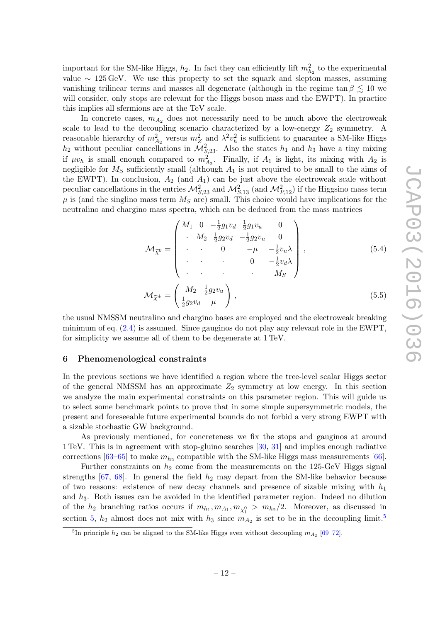important for the SM-like Higgs,  $h_2$ . In fact they can efficiently lift  $m_{h_2}^2$  to the experimental value ∼ 125 GeV. We use this property to set the squark and slepton masses, assuming vanishing trilinear terms and masses all degenerate (although in the regime tan  $\beta \lesssim 10$  we will consider, only stops are relevant for the Higgs boson mass and the EWPT). In practice this implies all sfermions are at the TeV scale.

In concrete cases,  $m_{A_2}$  does not necessarily need to be much above the electroweak scale to lead to the decoupling scenario characterized by a low-energy  $Z_2$  symmetry. A reasonable hierarchy of  $m_{A_2}^2$  versus  $m_Z^2$  and  $\lambda^2 v_h^2$  is sufficient to guarantee a SM-like Higgs  $h_2$  without peculiar cancellations in  $\mathcal{M}_{S,23}^2$ . Also the states  $h_1$  and  $h_3$  have a tiny mixing if  $\mu v_h$  is small enough compared to  $m_{A_2}^2$ . Finally, if  $A_1$  is light, its mixing with  $A_2$  is negligible for  $M_S$  sufficiently small (although  $A_1$  is not required to be small to the aims of the EWPT). In conclusion,  $A_2$  (and  $A_1$ ) can be just above the electroweak scale without peculiar cancellations in the entries  $\mathcal{M}_{S,23}^2$  and  $\mathcal{M}_{S,13}^2$  (and  $\mathcal{M}_{P,12}^2$ ) if the Higgsino mass term  $\mu$  is (and the singlino mass term  $M_S$  are) small. This choice would have implications for the neutralino and chargino mass spectra, which can be deduced from the mass matrices

$$
\mathcal{M}_{\tilde{\chi}^0} = \begin{pmatrix} M_1 & 0 & -\frac{1}{2}g_1v_d & \frac{1}{2}g_1v_u & 0 \\ . & M_2 & \frac{1}{2}g_2v_d & -\frac{1}{2}g_2v_u & 0 \\ . & . & 0 & -\mu & -\frac{1}{2}v_u\lambda \\ . & . & . & 0 & -\frac{1}{2}v_d\lambda \\ . & . & . & . & M_S \end{pmatrix},
$$
(5.4)

$$
\mathcal{M}_{\widetilde{\chi}^{\pm}} = \begin{pmatrix} M_2 & \frac{1}{2} g_2 v_u \\ \frac{1}{2} g_2 v_d & \mu \end{pmatrix}, \tag{5.5}
$$

the usual NMSSM neutralino and chargino bases are employed and the electroweak breaking minimum of eq. [\(2.4\)](#page-5-0) is assumed. Since gauginos do not play any relevant role in the EWPT, for simplicity we assume all of them to be degenerate at 1 TeV.

#### 6 Phenomenological constraints

In the previous sections we have identified a region where the tree-level scalar Higgs sector of the general NMSSM has an approximate  $Z_2$  symmetry at low energy. In this section we analyze the main experimental constraints on this parameter region. This will guide us to select some benchmark points to prove that in some simple supersymmetric models, the present and foreseeable future experimental bounds do not forbid a very strong EWPT with a sizable stochastic GW background.

As previously mentioned, for concreteness we fix the stops and gauginos at around 1 TeV. This is in agreement with stop-gluino searches [\[30](#page-24-4) , [31\]](#page-24-7) and implies enough radiative corrections  $[63-65]$  to make  $m_{h_2}$  compatible with the SM-like Higgs mass measurements  $[66]$ .

<span id="page-14-0"></span>Further constraints on  $h_2$  come from the measurements on the 125-GeV Higgs signal strengths  $[67, 68]$  $[67, 68]$ . In general the field  $h_2$  may depart from the SM-like behavior because of two reasons: existence of new decay channels and presence of sizable mixing with  $h_1$ and h <sup>3</sup>. Both issues can be avoided in the identified parameter region. Indeed no dilution of the  $h_2$  branching ratios occurs if  $m_{h_1}, m_{A_1}, m_{\chi_1^0} > m_{h_2}/2$ . Moreover, as discussed in section [5](#page-13-1),  $h_2$  almost does not mix with  $h_3$  since  $m_{A_2}$  is set to be in the decoupling limit.<sup>5</sup>

<span id="page-14-1"></span><sup>&</sup>lt;sup>5</sup>In principle  $h_2$  can be aligned to the SM-like Higgs even without decoupling  $m_{A_2}$  [\[69](#page-26-6)[–72\]](#page-26-7).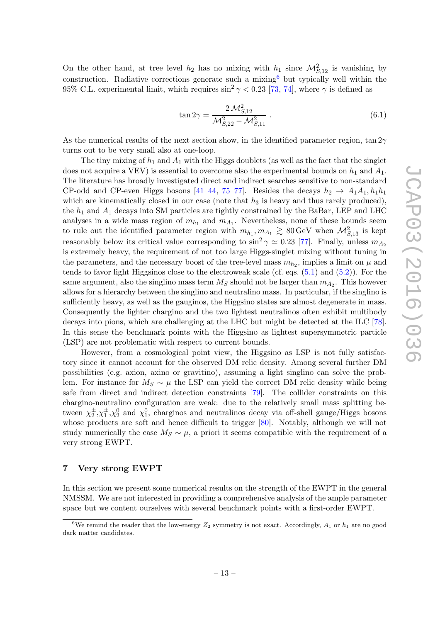On the other hand, at tree level  $h_2$  has no mixing with  $h_1$  since  $\mathcal{M}_{S,12}^2$  is vanishing by construction. Radiative corrections generate such a mixing [6](#page-14-1) but typically well within the 95% C.L. experimental limit, which requires  $\sin^2 \gamma < 0.23$  [\[73](#page-26-8), [74\]](#page-26-9), where  $\gamma$  is defined as

$$
\tan 2\gamma = \frac{2 \mathcal{M}_{S,12}^2}{\mathcal{M}_{S,22}^2 - \mathcal{M}_{S,11}^2} \ . \tag{6.1}
$$

As the numerical results of the next section show, in the identified parameter region,  $\tan 2\gamma$ turns out to be very small also at one-loop.

<span id="page-15-0"></span>The tiny mixing of  $h_1$  and  $A_1$  with the Higgs doublets (as well as the fact that the singlet does not acquire a VEV) is essential to overcome also the experimental bounds on  $h_1$  and  $A_1$ . The literature has broadly investigated direct and indirect searches sensitive to non-standard CP-odd and CP-even Higgs bosons [\[41](#page-25-12)[–44](#page-25-0), [75](#page-26-10)[–77\]](#page-26-11). Besides the decays  $h_2 \to A_1 A_1, h_1 h_1$ which are kinematically closed in our case (note that  $h_3$  is heavy and thus rarely produced), the  $h_1$  and  $A_1$  decays into SM particles are tightly constrained by the BaBar, LEP and LHC analyses in a wide mass region of  $m_{h_1}$  and  $m_{A_1}$ . Nevertheless, none of these bounds seem to rule out the identified parameter region with  $m_{h_1}, m_{A_1} \gtrsim 80 \,\text{GeV}$  when  $\mathcal{M}_{S,13}^2$  is kept reasonably below its critical value corresponding to  $\sin^2 \gamma \simeq 0.23$  [\[77\]](#page-26-11). Finally, unless  $m_{A_2}$ is extremely heavy, the requirement of not too large Higgs-singlet mixing without tuning in the parameters, and the necessary boost of the tree-level mass  $m_{h_2}$ , implies a limit on  $\mu$  and tends to favor light Higgsinos close to the electroweak scale (cf. eqs.  $(5.1)$  and  $(5.2)$ ). For the same argument, also the singlino mass term  $M_S$  should not be larger than  $m_{A_2}$ . This however allows for a hierarchy between the singlino and neutralino mass. In particular, if the singlino is sufficiently heavy, as well as the gauginos, the Higgsino states are almost degenerate in mass. Consequently the lighter chargino and the two lightest neutralinos often exhibit multibody decays into pions, which are challenging at the LHC but might be detected at the ILC [\[78\]](#page-26-12). In this sense the benchmark points with the Higgsino as lightest supersymmetric particle (LSP) are not problematic with respect to current bounds.

However, from a cosmological point view, the Higgsino as LSP is not fully satisfactory since it cannot account for the observed DM relic density. Among several further DM possibilities (e.g. axion, axino or gravitino), assuming a light singlino can solve the problem. For instance for  $M_S \sim \mu$  the LSP can yield the correct DM relic density while being safe from direct and indirect detection constraints [\[79\]](#page-26-13). The collider constraints on this chargino-neutralino configuration are weak: due to the relatively small mass splitting between  $\chi_2^{\pm}, \chi_1^{\pm}, \chi_2^0$  and  $\chi_1^0$ , charginos and neutralinos decay via off-shell gauge/Higgs bosons whose products are soft and hence difficult to trigger [\[80\]](#page-26-14). Notably, although we will not study numerically the case  $M_S \sim \mu$ , a priori it seems compatible with the requirement of a very strong EWPT.

#### 7 Very strong EWPT

In this section we present some numerical results on the strength of the EWPT in the general NMSSM. We are not interested in providing a comprehensive analysis of the ample parameter space but we content ourselves with several benchmark points with a first-order EWPT.

<sup>&</sup>lt;sup>6</sup>We remind the reader that the low-energy  $Z_2$  symmetry is not exact. Accordingly,  $A_1$  or  $h_1$  are no good dark matter candidates.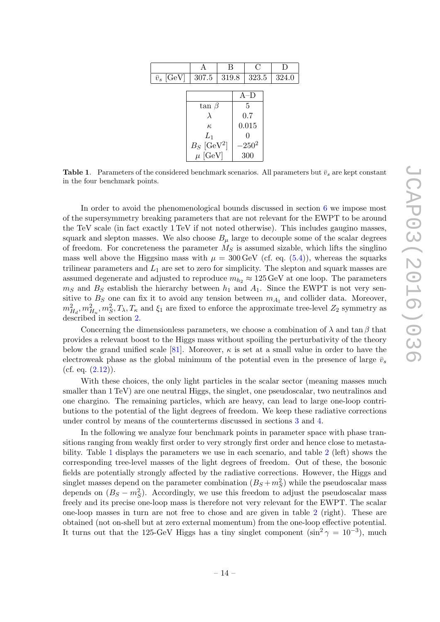|                   | $\mathsf{A}$              | В     |  | C        |  | $\Box$ |
|-------------------|---------------------------|-------|--|----------|--|--------|
| $\bar{v}_s$ [GeV] | 307.5                     | 319.8 |  | 323.5    |  | 324.0  |
|                   |                           |       |  |          |  |        |
|                   |                           |       |  | $A-D$    |  |        |
|                   | $\tan \beta$              |       |  | -5       |  |        |
|                   | $\lambda$                 |       |  | 0.7      |  |        |
|                   | $\kappa$                  |       |  | 0.015    |  |        |
|                   | $L_1$                     |       |  |          |  |        |
|                   | $B_S$ [GeV <sup>2</sup> ] |       |  | $-250^2$ |  |        |
|                   | $\mu$ [GeV]               |       |  | 300      |  |        |

<span id="page-16-1"></span>**Table 1.** Parameters of the considered benchmark scenarios. All parameters but  $\bar{v}_s$  are kept constant in the four benchmark points.

In order to avoid the phenomenological bounds discussed in section [6](#page-13-0) we impose most of the supersymmetry breaking parameters that are not relevant for the EWPT to be around the TeV scale (in fact exactly 1 TeV if not noted otherwise). This includes gaugino masses, squark and slepton masses. We also choose  $B_\mu$  large to decouple some of the scalar degrees of freedom. For concreteness the parameter  $M_S$  is assumed sizable, which lifts the singlino mass well above the Higgsino mass with  $\mu = 300 \,\text{GeV}$  (cf. eq.  $(5.4)$ ), whereas the squarks trilinear parameters and  $L_1$  are set to zero for simplicity. The slepton and squark masses are assumed degenerate and adjusted to reproduce  $m_{h_2} \approx 125 \,\text{GeV}$  at one loop. The parameters  $m_S$  and  $B_S$  establish the hierarchy between  $h_1$  and  $A_1$ . Since the EWPT is not very sensitive to  $B<sub>S</sub>$  one can fix it to avoid any tension between  $m_{A_1}$  and collider data. Moreover,  $m_{H_d}^2, m_{H_u}^2, m_S^2, T_\lambda, T_\kappa$  and  $\xi_1$  are fixed to enforce the approximate tree-level  $Z_2$  symmetry as described in section [2](#page-4-0) .

Concerning the dimensionless parameters, we choose a combination of  $\lambda$  and  $\tan \beta$  that provides a relevant boost to the Higgs mass without spoiling the perturbativity of the theory below the grand unified scale [\[81\]](#page-26-15). Moreover,  $\kappa$  is set at a small value in order to have the electroweak phase as the global minimum of the potential even in the presence of large  $\bar{v}_s$ (cf. eq.  $(2.12)$ ).

With these choices, the only light particles in the scalar sector (meaning masses much smaller than 1 TeV) are one neutral Higgs, the singlet, one pseudoscalar, two neutralinos and one chargino. The remaining particles, which are heavy, can lead to large one-loop contributions to the potential of the light degrees of freedom. We keep these radiative corrections under control by means of the counterterms discussed in sections [3](#page-6-0) and [4](#page-11-0) .

<span id="page-16-0"></span>In the following we analyze four benchmark points in parameter space with phase transitions ranging from weakly first order to very strongly first order and hence close to metastability. Table [1](#page-15-0) displays the parameters we use in each scenario, and table [2](#page-16-1) (left) shows the corresponding tree-level masses of the light degrees of freedom. Out of these, the bosonic fields are potentially strongly affected by the radiative corrections. However, the Higgs and singlet masses depend on the parameter combination  $(B_S + m_S^2)$  while the pseudoscalar mass depends on  $(B_S - m_S^2)$ . Accordingly, we use this freedom to adjust the pseudoscalar mass freely and its precise one-loop mass is therefore not very relevant for the EWPT. The scalar one-loop masses in turn are not free to chose and are given in table [2](#page-16-1) (right). These are obtained (not on-shell but at zero external momentum) from the one-loop effective potential. It turns out that the 125-GeV Higgs has a tiny singlet component  $(\sin^2 \gamma = 10^{-3})$ , much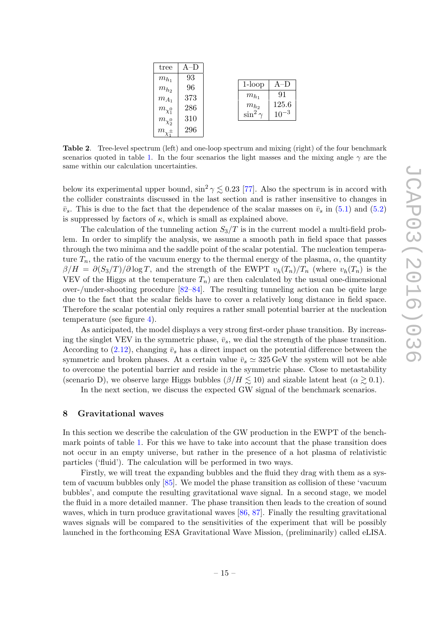| tree                        | A–D       |                |           |
|-----------------------------|-----------|----------------|-----------|
| $m_{h_1}$                   | 93        | $1-loop$       | $A-D$     |
| $m_{h_2}$                   | 96<br>373 | $m_{h_1}$      | 91        |
| $m_{A_1}$<br>$m_{\chi_1^0}$ | 286       | $m_{h_2}$      | 125.6     |
| $m_{\chi_2^0}$              | 310       | $\sin^2\gamma$ | $10^{-3}$ |
| $m_{\chi^{\pm}_1}$          | 296       |                |           |
|                             |           |                |           |

. 6

Table 2. Tree-level spectrum (left) and one-loop spectrum and mixing (right) of the four benchmark scenarios quoted in table [1.](#page-15-0) In the four scenarios the light masses and the mixing angle  $\gamma$  are the same within our calculation uncertainties.

below its experimental upper bound,  $\sin^2 \gamma \lesssim 0.23$  [\[77\]](#page-26-11). Also the spectrum is in accord with the collider constraints discussed in the last section and is rather insensitive to changes in  $\bar{v}_s$ . This is due to the fact that the dependence of the scalar masses on  $\bar{v}_s$  in [\(5.1\)](#page-12-1) and [\(5.2\)](#page-12-2) is suppressed by factors of  $\kappa$ , which is small as explained above.

The calculation of the tunneling action  $S_3/T$  is in the current model a multi-field problem. In order to simplify the analysis, we assume a smooth path in field space that passes through the two minima and the saddle point of the scalar potential. The nucleation temperature  $T_n$ , the ratio of the vacuum energy to the thermal energy of the plasma,  $\alpha$ , the quantity  $\beta/H = \partial(S_3/T)/\partial \log T$ , and the strength of the EWPT  $v_h(T_n)/T_n$  (where  $v_h(T_n)$ ) is the VEV of the Higgs at the temperature  $T_n$ ) are then calculated by the usual one-dimensional over-/under-shooting procedure [\[82](#page-27-0) [–84\]](#page-27-1). The resulting tunneling action can be quite large due to the fact that the scalar fields have to cover a relatively long distance in field space. Therefore the scalar potential only requires a rather small potential barrier at the nucleation temperature (see figure [4\)](#page-17-0).

As anticipated, the model displays a very strong first-order phase transition. By increasing the singlet VEV in the symmetric phase,  $\bar{v}_s$ , we dial the strength of the phase transition. According to  $(2.12)$ , changing  $\bar{v}_s$  has a direct impact on the potential difference between the symmetric and broken phases. At a certain value  $\bar{v}_s \simeq 325 \,\text{GeV}$  the system will not be able to overcome the potential barrier and reside in the symmetric phase. Close to metastability (scenario D), we observe large Higgs bubbles  $(\beta/H \lesssim 10)$  and sizable latent heat  $(\alpha \gtrsim 0.1)$ .

In the next section, we discuss the expected GW signal of the benchmark scenarios.

#### 8 Gravitational waves

In this section we describe the calculation of the GW production in the EWPT of the benchmark points of table [1.](#page-15-0) For this we have to take into account that the phase transition does not occur in an empty universe, but rather in the presence of a hot plasma of relativistic particles ('fluid'). The calculation will be performed in two ways .

<span id="page-17-0"></span>Firstly, we will treat the expanding bubbles and the fluid they drag with them as a system of vacuum bubbles only [\[85\]](#page-27-2). We model the phase transition as collision of these 'vacuum bubbles', and compute the resulting gravitational wave signal. In a second stage, we model the fluid in a more detailed manner. The phase transition then leads to the creation of sound waves, which in turn produce gravitational waves [\[86](#page-27-3), [87\]](#page-27-4). Finally the resulting gravitational waves signals will be compared to the sensitivities of the experiment that will be possibly launched in the forthcoming ESA Gravitational Wave Mission, (preliminarily) called eLISA.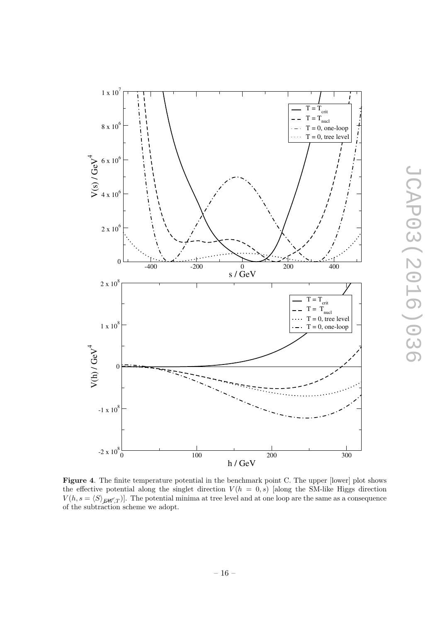<span id="page-18-1"></span><span id="page-18-0"></span>

Figure 4. The finite temperature potential in the benchmark point C. The upper [lower] plot shows the effective potential along the singlet direction  $V(h = 0, s)$  [along the SM-like Higgs direction  $V(h, s = \langle S \rangle_{\cancel{EW}, T})$ . The potential minima at tree level and at one loop are the same as a consequence of the subtraction scheme we adopt.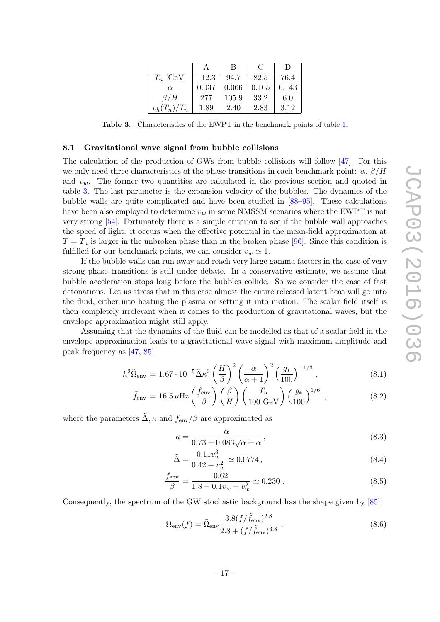|                |       | B     | - 62  |       |
|----------------|-------|-------|-------|-------|
| $T_n$ [GeV]    | 112.3 | 94.7  | 82.5  | 76.4  |
| $\alpha$       | 0.037 | 0.066 | 0.105 | 0.143 |
| $\beta/H$      | 277   | 105.9 | 33.2  | 6.0   |
| $v_h(T_n)/T_n$ | 1.89  | 2.40  | 2.83  | 3.12  |

Table 3. Characteristics of the EWPT in the benchmark points of table [1](#page-15-0).

#### 8.1 Gravitational wave signal from bubble collisions

The calculation of the production of GWs from bubble collisions will follow [\[47\]](#page-25-3). For this we only need three characteristics of the phase transitions in each benchmark point:  $\alpha$ ,  $\beta/H$ and  $v_w$ . The former two quantities are calculated in the previous section and quoted in table [3.](#page-18-1) The last parameter is the expansion velocity of the bubbles. The dynamics of the bubble walls are quite complicated and have been studied in [\[88](#page-27-5) [–95\]](#page-27-6). These calculations have been also employed to determine  $v_w$  in some NMSSM scenarios where the EWPT is not very strong [\[54\]](#page-25-7). Fortunately there is a simple criterion to see if the bubble wall approaches the speed of light: it occurs when the effective potential in the mean-field approximation at  $T = T_n$  is larger in the unbroken phase than in the broken phase [\[96\]](#page-27-7). Since this condition is fulfilled for our benchmark points, we can consider  $v_w \simeq 1$ .

<span id="page-19-1"></span>If the bubble walls can run away and reach very large gamma factors in the case of very strong phase transitions is still under debate. In a conservative estimate, we assume that bubble acceleration stops long before the bubbles collide. So we consider the case of fast detonations. Let us stress that in this case almost the entire released latent heat will go into the fluid, either into heating the plasma or setting it into motion. The scalar field itself is then completely irrelevant when it comes to the production of gravitational waves, but the envelope approximation might still apply.

<span id="page-19-0"></span>Assuming that the dynamics of the fluid can be modelled as that of a scalar field in the envelope approximation leads to a gravitational wave signal with maximum amplitude and peak frequency as [\[47](#page-25-3) , [85](#page-27-2) ]

$$
h^2 \tilde{\Omega}_{\text{env}} = 1.67 \cdot 10^{-5} \tilde{\Delta} \kappa^2 \left(\frac{H}{\beta}\right)^2 \left(\frac{\alpha}{\alpha+1}\right)^2 \left(\frac{g_*}{100}\right)^{-1/3},\tag{8.1}
$$

$$
\tilde{f}_{\text{env}} = 16.5 \,\mu\text{Hz} \left(\frac{f_{\text{env}}}{\beta}\right) \left(\frac{\beta}{H}\right) \left(\frac{T_n}{100 \text{ GeV}}\right) \left(\frac{g_*}{100}\right)^{1/6},\tag{8.2}
$$

where the parameters  $\tilde{\Delta}$ ,  $\kappa$  and  $f_{\text{env}}/\beta$  are approximated as

$$
\kappa = \frac{\alpha}{0.73 + 0.083\sqrt{\alpha} + \alpha},\tag{8.3}
$$

$$
\tilde{\Delta} = \frac{0.11 v_w^3}{0.42 + v_w^2} \simeq 0.0774\,,\tag{8.4}
$$

$$
\frac{f_{\text{env}}}{\beta} = \frac{0.62}{1.8 - 0.1v_w + v_w^2} \simeq 0.230 \ . \tag{8.5}
$$

<span id="page-19-2"></span>Consequently, the spectrum of the GW stochastic background has the shape given by [\[85](#page-27-2) ]

$$
\Omega_{\rm env}(f) = \tilde{\Omega}_{\rm env} \frac{3.8 (f/\tilde{f}_{\rm env})^{2.8}}{2.8 + (f/\tilde{f}_{\rm env})^{3.8}} \,. \tag{8.6}
$$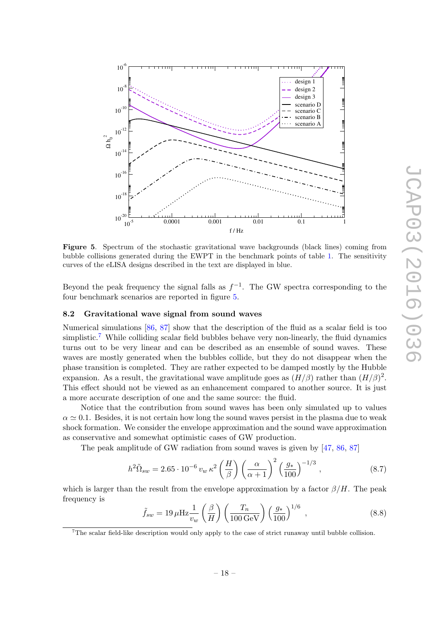

<span id="page-20-1"></span>Figure 5. Spectrum of the stochastic gravitational wave backgrounds (black lines) coming from bubble collisions generated during the EWPT in the benchmark points of table [1.](#page-15-0) The sensitivity curves of the eLISA designs described in the text are displayed in blue.

Beyond the peak frequency the signal falls as  $f^{-1}$ . The GW spectra corresponding to the four benchmark scenarios are reported in figure [5](#page-19-1) .

#### 8.2 Gravitational wave signal from sound waves

<span id="page-20-0"></span>Numerical simulations [\[86](#page-27-3), [87\]](#page-27-4) show that the description of the fluid as a scalar field is too simplistic.<sup>[7](#page-19-2)</sup> While colliding scalar field bubbles behave very non-linearly, the fluid dynamics turns out to be very linear and can be described as an ensemble of sound waves. These waves are mostly generated when the bubbles collide, but they do not disappear when the phase transition is completed. They are rather expected to be damped mostly by the Hubble expansion. As a result, the gravitational wave amplitude goes as  $(H/\beta)$  rather than  $(H/\beta)^2$ . This effect should not be viewed as an enhancement compared to another source. It is just a more accurate description of one and the same source: the fluid.

Notice that the contribution from sound waves has been only simulated up to values  $\alpha \simeq 0.1$ . Besides, it is not certain how long the sound waves persist in the plasma due to weak shock formation. We consider the envelope approximation and the sound wave approximation as conservative and somewhat optimistic cases of GW production.

The peak amplitude of GW radiation from sound waves is given by [\[47](#page-25-3), [86](#page-27-3), [87](#page-27-4)]

$$
h^2 \tilde{\Omega}_{sw} = 2.65 \cdot 10^{-6} \, v_w \, \kappa^2 \left(\frac{H}{\beta}\right) \left(\frac{\alpha}{\alpha+1}\right)^2 \left(\frac{g_*}{100}\right)^{-1/3},\tag{8.7}
$$

which is larger than the result from the envelope approximation by a factor  $\beta/H$ . The peak frequency is

$$
\tilde{f}_{sw} = 19 \,\mu\text{Hz} \frac{1}{v_w} \left(\frac{\beta}{H}\right) \left(\frac{T_n}{100 \,\text{GeV}}\right) \left(\frac{g_*}{100}\right)^{1/6},\tag{8.8}
$$

<span id="page-20-2"></span><sup>7</sup>The scalar field-like description would only apply to the case of strict runaway until bubble collision.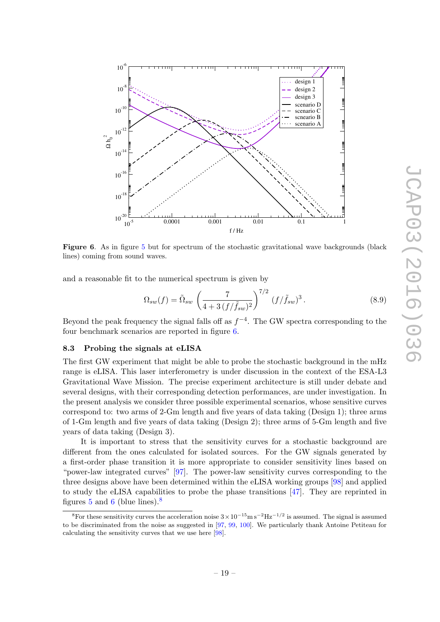

**Figure 6.** As in figure [5](#page-19-1) but for spectrum of the stochastic gravitational wave backgrounds (black lines) coming from sound waves.

and a reasonable fit to the numerical spectrum is given by

$$
\Omega_{sw}(f) = \tilde{\Omega}_{sw} \left(\frac{7}{4 + 3\left(f/\tilde{f}_{sw}\right)^2}\right)^{7/2} \left(f/\tilde{f}_{sw}\right)^3.
$$
\n(8.9)

Beyond the peak frequency the signal falls off as  $f^{-4}$ . The GW spectra corresponding to the four benchmark scenarios are reported in figure [6](#page-20-1) .

#### 8.3 Probing the signals at eLISA

The first GW experiment that might be able to probe the stochastic background in the mHz range is eLISA. This laser interferometry is under discussion in the context of the ESA-L3 Gravitational Wave Mission. The precise experiment architecture is still under debate and several designs, with their corresponding detection performances, are under investigation. In the present analysis we consider three possible experimental scenarios, whose sensitive curves correspond to: two arms of 2-Gm length and five years of data taking (Design 1); three arms of 1-Gm length and five years of data taking (Design 2); three arms of 5-Gm length and five years of data taking (Design 3).

<span id="page-21-0"></span>It is important to stress that the sensitivity curves for a stochastic background are different from the ones calculated for isolated sources. For the GW signals generated by a first-order phase transition it is more appropriate to consider sensitivity lines based on "power-law integrated curves" [\[97\]](#page-27-8). The power-law sensitivity curves corresponding to the three designs above have been determined within the eLISA working groups [\[98\]](#page-27-9) and applied to study the eLISA capabilities to probe the phase transitions [\[47\]](#page-25-3). They are reprinted in figures [5](#page-19-1) and [6](#page-20-1) (blue lines).<sup>[8](#page-20-2)</sup>

<sup>&</sup>lt;sup>8</sup>For these sensitivity curves the acceleration noise  $3 \times 10^{-15}$  m s<sup>-2</sup>Hz<sup>-1/2</sup> is assumed. The signal is assumed to be discriminated from the noise as suggested in [\[97](#page-27-8) , [99](#page-27-10) , [100\]](#page-27-11). We particularly thank Antoine Petiteau for calculating the sensitivity curves that we use here [\[98\]](#page-27-9).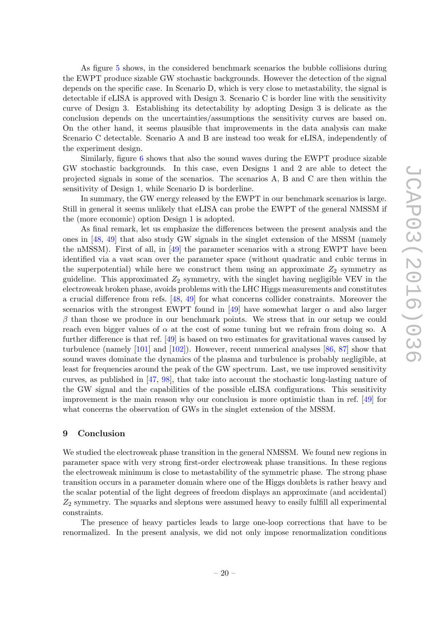As figure [5](#page-19-1) shows, in the considered benchmark scenarios the bubble collisions during the EWPT produce sizable GW stochastic backgrounds. However the detection of the signal depends on the specific case. In Scenario D, which is very close to metastability, the signal is detectable if eLISA is approved with Design 3. Scenario C is border line with the sensitivity curve of Design 3. Establishing its detectability by adopting Design 3 is delicate as the conclusion depends on the uncertainties/assumptions the sensitivity curves are based on. On the other hand, it seems plausible that improvements in the data analysis can make Scenario C detectable. Scenario A and B are instead too weak for eLISA, independently of the experiment design.

Similarly, figure [6](#page-20-1) shows that also the sound waves during the EWPT produce sizable GW stochastic backgrounds. In this case, even Designs 1 and 2 are able to detect the projected signals in some of the scenarios. The scenarios A, B and C are then within the sensitivity of Design 1, while Scenario D is borderline.

In summary, the GW energy released by the EWPT in our benchmark scenarios is large. Still in general it seems unlikely that eLISA can probe the EWPT of the general NMSSM if the (more economic) option Design 1 is adopted.

As final remark, let us emphasize the differences between the present analysis and the ones in [\[48](#page-25-4), [49\]](#page-25-5) that also study GW signals in the singlet extension of the MSSM (namely the nMSSM). First of all, in [\[49\]](#page-25-5) the parameter scenarios with a strong EWPT have been identified via a vast scan over the parameter space (without quadratic and cubic terms in the superpotential) while here we construct them using an approximate  $Z_2$  symmetry as guideline. This approximated  $Z_2$  symmetry, with the singlet having negligible VEV in the electroweak broken phase, avoids problems with the LHC Higgs measurements and constitutes a crucial difference from refs. [\[48](#page-25-4) , [49\]](#page-25-5) for what concerns collider constraints. Moreover the scenarios with the strongest EWPT found in [\[49\]](#page-25-5) have somewhat larger  $\alpha$  and also larger  $\beta$  than those we produce in our benchmark points. We stress that in our setup we could reach even bigger values of  $\alpha$  at the cost of some tuning but we refrain from doing so. A further difference is that ref. [\[49\]](#page-25-5) is based on two estimates for gravitational waves caused by turbulence (namely [\[101\]](#page-27-12) and [\[102\]](#page-27-13)). However, recent numerical analyses [\[86](#page-27-3) , [87\]](#page-27-4) show that sound waves dominate the dynamics of the plasma and turbulence is probably negligible, at least for frequencies around the peak of the GW spectrum. Last, we use improved sensitivity curves, as published in [\[47](#page-25-3) , [98\]](#page-27-9), that take into account the stochastic long-lasting nature of the GW signal and the capabilities of the possible eLISA configurations. This sensitivity improvement is the main reason why our conclusion is more optimistic than in ref. [\[49\]](#page-25-5) for what concerns the observation of GWs in the singlet extension of the MSSM.

#### 9 Conclusion

We studied the electroweak phase transition in the general NMSSM. We found new regions in parameter space with very strong first-order electroweak phase transitions. In these regions the electroweak minimum is close to metastability of the symmetric phase. The strong phase transition occurs in a parameter domain where one of the Higgs doublets is rather heavy and the scalar potential of the light degrees of freedom displays an approximate (and accidental)  $Z_2$  symmetry. The squarks and sleptons were assumed heavy to easily fulfill all experimental constraints.

The presence of heavy particles leads to large one-loop corrections that have to be renormalized. In the present analysis, we did not only impose renormalization conditions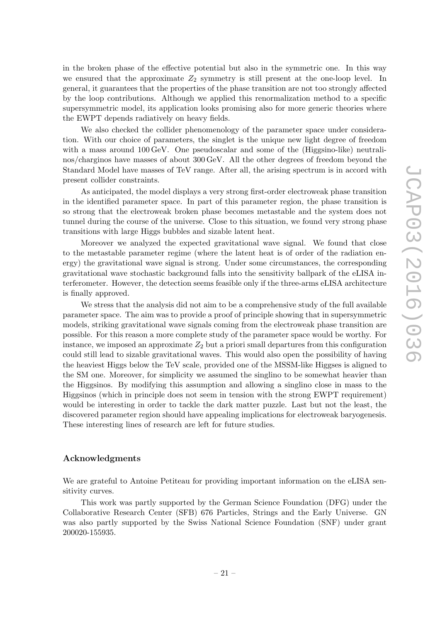<span id="page-23-0"></span>in the broken phase of the effective potential but also in the symmetric one. In this way we ensured that the approximate  $Z_2$  symmetry is still present at the one-loop level. In general, it guarantees that the properties of the phase transition are not too strongly affected by the loop contributions. Although we applied this renormalization method to a specific supersymmetric model, its application looks promising also for more generic theories where the EWPT depends radiatively on heavy fields.

<span id="page-23-1"></span>We also checked the collider phenomenology of the parameter space under consideration. With our choice of parameters, the singlet is the unique new light degree of freedom with a mass around  $100 \,\text{GeV}$ . One pseudoscalar and some of the (Higgsino-like) neutralinos/charginos have masses of about 300 GeV. All the other degrees of freedom beyond the Standard Model have masses of TeV range. After all, the arising spectrum is in accord with present collider constraints.

<span id="page-23-3"></span><span id="page-23-2"></span>As anticipated, the model displays a very strong first-order electroweak phase transition in the identified parameter space. In part of this parameter region, the phase transition is so strong that the electroweak broken phase becomes metastable and the system does not tunnel during the course of the universe. Close to this situation, we found very strong phase transitions with large Higgs bubbles and sizable latent heat.

<span id="page-23-4"></span>Moreover we analyzed the expected gravitational wave signal. We found that close to the metastable parameter regime (where the latent heat is of order of the radiation energy) the gravitational wave signal is strong. Under some circumstances, the corresponding gravitational wave stochastic background falls into the sensitivity ballpark of the eLISA interferometer. However, the detection seems feasible only if the three-arms eLISA architecture is finally approved.

<span id="page-23-7"></span><span id="page-23-6"></span><span id="page-23-5"></span>We stress that the analysis did not aim to be a comprehensive study of the full available parameter space. The aim was to provide a proof of principle showing that in supersymmetric models, striking gravitational wave signals coming from the electroweak phase transition are possible. For this reason a more complete study of the parameter space would be worthy. For instance, we imposed an approximate  $Z_2$  but a priori small departures from this configuration could still lead to sizable gravitational waves. This would also open the possibility of having the heaviest Higgs below the TeV scale, provided one of the MSSM-like Higgses is aligned to the SM one. Moreover, for simplicity we assumed the singlino to be somewhat heavier than the Higgsinos. By modifying this assumption and allowing a singlino close in mass to the Higgsinos (which in principle does not seem in tension with the strong EWPT requirement) would be interesting in order to tackle the dark matter puzzle. Last but not the least, the discovered parameter region should have appealing implications for electroweak baryogenesis. These interesting lines of research are left for future studies.

#### Acknowledgments

We are grateful to Antoine Petiteau for providing important information on the eLISA sensitivity curves.

This work was partly supported by the German Science Foundation (DFG) under the Collaborative Research Center (SFB) 676 Particles, Strings and the Early Universe. GN was also partly supported by the Swiss National Science Foundation (SNF) under grant 200020-155935.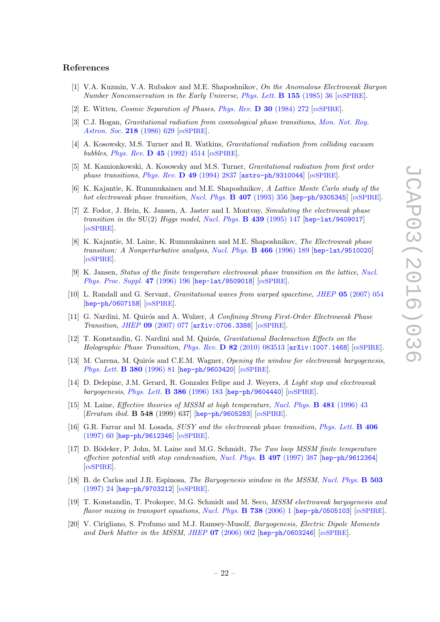#### References

- [1] V.A. Kuzmin, V.A. Rubakov and M.E. Shaposhnikov, On the Anomalous Electroweak Baryon Number Nonconservation in the Early Universe, [Phys. Lett.](http://dx.doi.org/10.1016/0370-2693(85)91028-7) **B 155** (1985) 36 [IN[SPIRE](http://inspirehep.net/search?p=find+J+"Phys.Lett.,B155,36")].
- [2] E. Witten, *Cosmic Separation of Phases*, *[Phys. Rev.](http://dx.doi.org/10.1103/PhysRevD.30.272)* **D** 30 (1984) 272 [IN[SPIRE](http://inspirehep.net/search?p=find+J+"Phys.Rev.,D30,272")].
- [3] C.J. Hogan, *Gravitational radiation from cosmological phase transitions, [Mon. Not. Roy.](http://dx.doi.org/10.1093/mnras/218.4.629)* [Astron. Soc.](http://dx.doi.org/10.1093/mnras/218.4.629) 218 (1986) 629 [IN[SPIRE](http://inspirehep.net/search?p=find+J+"Mon.Not.Roy.Astron.Soc.,218,629")].
- <span id="page-24-0"></span>[4] A. Kosowsky, M.S. Turner and R. Watkins, Gravitational radiation from colliding vacuum bubbles, *Phys. Rev.* **D** 45 [\(1992\) 4514](http://dx.doi.org/10.1103/PhysRevD.45.4514) [IN[SPIRE](http://inspirehep.net/search?p=find+J+"Phys.Rev.,D45,4514")].
- <span id="page-24-1"></span>[5] M. Kamionkowski, A. Kosowsky and M.S. Turner, Gravitational radiation from first order phase transitions, Phys. Rev. D 49 [\(1994\) 2837](http://dx.doi.org/10.1103/PhysRevD.49.2837) [[astro-ph/9310044](http://arxiv.org/abs/astro-ph/9310044)] [IN[SPIRE](http://inspirehep.net/search?p=find+EPRINT+astro-ph/9310044)].
- [6] K. Kajantie, K. Rummukainen and M.E. Shaposhnikov, A Lattice Monte Carlo study of the hot electroweak phase transition, [Nucl. Phys.](http://dx.doi.org/10.1016/0550-3213(93)90062-T) **B 407** (1993) 356 [[hep-ph/9305345](http://arxiv.org/abs/hep-ph/9305345)] [IN[SPIRE](http://inspirehep.net/search?p=find+EPRINT+hep-ph/9305345)].
- [7] Z. Fodor, J. Hein, K. Jansen, A. Jaster and I. Montvay, Simulating the electroweak phase transition in the SU(2) Higgs model, [Nucl. Phys.](http://dx.doi.org/10.1016/0550-3213(95)00038-T)  $\bf{B}$  439 (1995) 147 [[hep-lat/9409017](http://arxiv.org/abs/hep-lat/9409017)] [IN[SPIRE](http://inspirehep.net/search?p=find+EPRINT+hep-lat/9409017)].
- <span id="page-24-3"></span><span id="page-24-2"></span>[8] K. Kajantie, M. Laine, K. Rummukainen and M.E. Shaposhnikov, The Electroweak phase transition: A Nonperturbative analysis, [Nucl. Phys.](http://dx.doi.org/10.1016/0550-3213(96)00052-1) **B 466** (1996) 189 [hep-1at/9510020] [IN[SPIRE](http://inspirehep.net/search?p=find+EPRINT+hep-lat/9510020)].
- <span id="page-24-4"></span>[9] K. Jansen, Status of the finite temperature electroweak phase transition on the lattice , [Nucl.](http://dx.doi.org/10.1016/0920-5632(96)00045-X) [Phys. Proc. Suppl.](http://dx.doi.org/10.1016/0920-5632(96)00045-X) 47 (1996) 196 [hep-1at/9509018] [IN[SPIRE](http://inspirehep.net/search?p=find+EPRINT+hep-lat/9509018)].
- <span id="page-24-7"></span>[10] L. Randall and G. Servant, *Gravitational waves from warped spacetime*, *JHEP* **05** [\(2007\) 054](http://dx.doi.org/10.1088/1126-6708/2007/05/054) [[hep-ph/0607158](http://arxiv.org/abs/hep-ph/0607158)] [IN[SPIRE](http://inspirehep.net/search?p=find+EPRINT+hep-ph/0607158)].
- [11] G. Nardini, M. Quirós and A. Wulzer, A Confining Strong First-Order Electroweak Phase Transition , JHEP 09 [\(2007\) 077](http://dx.doi.org/10.1088/1126-6708/2007/09/077) [[arXiv:0706.3388](http://arxiv.org/abs/0706.3388)] [IN[SPIRE](http://inspirehep.net/search?p=find+EPRINT+arXiv:0706.3388)].
- [12] T. Konstandin, G. Nardini and M. Quirós, *Gravitational Backreaction Effects on the* Holographic Phase Transition, Phys. Rev. D  $82$  [\(2010\) 083513](http://dx.doi.org/10.1103/PhysRevD.82.083513) [[arXiv:1007.1468](http://arxiv.org/abs/1007.1468)] [IN[SPIRE](http://inspirehep.net/search?p=find+EPRINT+arXiv:1007.1468)].
- <span id="page-24-5"></span>[13] M. Carena, M. Quirós and C.E.M. Wagner, Opening the window for electroweak baryogenesis, [Phys. Lett.](http://dx.doi.org/10.1016/0370-2693(96)00475-3) **B 380** (1996) 81 [[hep-ph/9603420](http://arxiv.org/abs/hep-ph/9603420)] [IN[SPIRE](http://inspirehep.net/search?p=find+EPRINT+hep-ph/9603420)].
- <span id="page-24-6"></span>[14] D. Delepine, J.M. Gerard, R. Gonzalez Felipe and J. Weyers, A Light stop and electroweak baryogenesis, [Phys. Lett.](http://dx.doi.org/10.1016/0370-2693(96)00921-5) **B 386** (1996) 183 [[hep-ph/9604440](http://arxiv.org/abs/hep-ph/9604440)] [IN[SPIRE](http://inspirehep.net/search?p=find+EPRINT+hep-ph/9604440)].
- [15] M. Laine, *Effective theories of MSSM at high temperature*, *[Nucl. Phys.](http://dx.doi.org/10.1016/S0550-3213(96)90121-2)* **B 481** (1996) 43 [*Erratum ibid.* **B 548** (1999) 637] [[hep-ph/9605283](http://arxiv.org/abs/hep-ph/9605283)] [IN[SPIRE](http://inspirehep.net/search?p=find+EPRINT+hep-ph/9605283)].
- [16] G.R. Farrar and M. Losada, SUSY and the electroweak phase transition, [Phys. Lett.](http://dx.doi.org/10.1016/S0370-2693(97)00663-1) **B** 406 [\(1997\) 60](http://dx.doi.org/10.1016/S0370-2693(97)00663-1) [[hep-ph/9612346](http://arxiv.org/abs/hep-ph/9612346)] [IN[SPIRE](http://inspirehep.net/search?p=find+EPRINT+hep-ph/9612346)].
- [17] D. Bödeker, P. John, M. Laine and M.G. Schmidt, The Two loop MSSM finite temperature effective potential with stop condensation, [Nucl. Phys.](http://dx.doi.org/10.1016/S0550-3213(97)00252-6) **B 497** (1997) 387 [[hep-ph/9612364](http://arxiv.org/abs/hep-ph/9612364)] [IN[SPIRE](http://inspirehep.net/search?p=find+EPRINT+hep-ph/9612364)].
- [18] B. de Carlos and J.R. Espinosa, *The Baryogenesis window in the MSSM*, *[Nucl. Phys.](http://dx.doi.org/10.1016/S0550-3213(97)00437-9)* **B 503** [\(1997\) 24](http://dx.doi.org/10.1016/S0550-3213(97)00437-9) [[hep-ph/9703212](http://arxiv.org/abs/hep-ph/9703212)] [IN[SPIRE](http://inspirehep.net/search?p=find+EPRINT+hep-ph/9703212)].
- [19] T. Konstandin, T. Prokopec, M.G. Schmidt and M. Seco, MSSM electroweak baryogenesis and flavor mixing in transport equations, [Nucl. Phys.](http://dx.doi.org/10.1016/j.nuclphysb.2005.11.028) **B 738** (2006) 1 [[hep-ph/0505103](http://arxiv.org/abs/hep-ph/0505103)] [IN[SPIRE](http://inspirehep.net/search?p=find+EPRINT+hep-ph/0505103)].
- [20] V. Cirigliano, S. Profumo and M.J. Ramsey-Musolf, Baryogenesis, Electric Dipole Moments and Dark Matter in the MSSM, JHEP 07 [\(2006\) 002](http://dx.doi.org/10.1088/1126-6708/2006/07/002) [[hep-ph/0603246](http://arxiv.org/abs/hep-ph/0603246)] [IN[SPIRE](http://inspirehep.net/search?p=find+EPRINT+hep-ph/0603246)].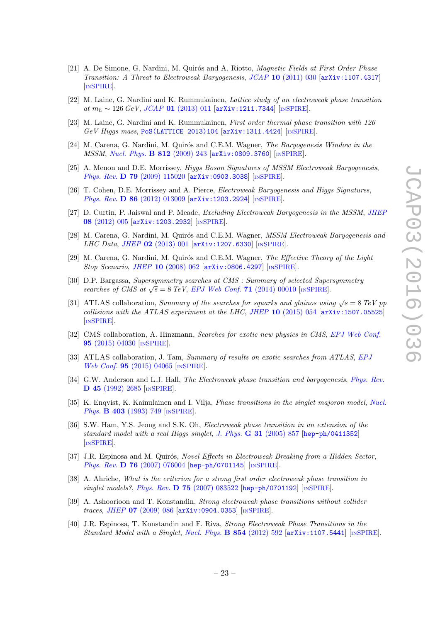- <span id="page-25-12"></span>[21] A. De Simone, G. Nardini, M. Quirós and A. Riotto, *Magnetic Fields at First Order Phase* Transition: A Threat to Electroweak Baryogenesis, JCAP 10 [\(2011\) 030](http://dx.doi.org/10.1088/1475-7516/2011/10/030) [[arXiv:1107.4317](http://arxiv.org/abs/1107.4317)] [IN[SPIRE](http://inspirehep.net/search?p=find+EPRINT+arXiv:1107.4317)].
- [22] M. Laine, G. Nardini and K. Rummukainen, Lattice study of an electroweak phase transition at  $m_h \sim 126 \text{ GeV}$ , JCAP 01 [\(2013\) 011](http://dx.doi.org/10.1088/1475-7516/2013/01/011) [[arXiv:1211.7344](http://arxiv.org/abs/1211.7344)] [IN[SPIRE](http://inspirehep.net/search?p=find+EPRINT+arXiv:1211.7344)].
- [23] M. Laine, G. Nardini and K. Rummukainen, First order thermal phase transition with 126  $GeV$  Higgs mass, [PoS\(LATTICE 2013\)104](http://pos.sissa.it/cgi-bin/reader/contribution.cgi?id=PoS(LATTICE 2013)104)  $[$ [arXiv:1311.4424](http://arxiv.org/abs/1311.4424)]  $[$ IN[SPIRE](http://inspirehep.net/search?p=find+EPRINT+arXiv:1311.4424)].
- <span id="page-25-0"></span>[24] M. Carena, G. Nardini, M. Quirós and C.E.M. Wagner, The Baryogenesis Window in the MSSM, [Nucl. Phys.](http://dx.doi.org/10.1016/j.nuclphysb.2008.12.014) B 812 (2009) 243 [[arXiv:0809.3760](http://arxiv.org/abs/0809.3760)] [IN[SPIRE](http://inspirehep.net/search?p=find+EPRINT+arXiv:0809.3760)].
- <span id="page-25-1"></span>[25] A. Menon and D.E. Morrissey, *Higgs Boson Signatures of MSSM Electroweak Baryogenesis*, Phys. Rev. **D 79** [\(2009\) 115020](http://dx.doi.org/10.1103/PhysRevD.79.115020) [[arXiv:0903.3038](http://arxiv.org/abs/0903.3038)] [IN[SPIRE](http://inspirehep.net/search?p=find+EPRINT+arXiv:0903.3038)].
- <span id="page-25-2"></span>[26] T. Cohen, D.E. Morrissey and A. Pierce, *Electroweak Baryogenesis and Higgs Signatures*, Phys. Rev. **D 86** [\(2012\) 013009](http://dx.doi.org/10.1103/PhysRevD.86.013009) [[arXiv:1203.2924](http://arxiv.org/abs/1203.2924)] [IN[SPIRE](http://inspirehep.net/search?p=find+EPRINT+arXiv:1203.2924)].
- <span id="page-25-3"></span>[27] D. Curtin, P. Jaiswal and P. Meade, Excluding Electroweak Baryogenesis in the MSSM, [JHEP](http://dx.doi.org/10.1007/JHEP08(2012)005) 08 [\(2012\) 005](http://dx.doi.org/10.1007/JHEP08(2012)005) [[arXiv:1203.2932](http://arxiv.org/abs/1203.2932)] [IN[SPIRE](http://inspirehep.net/search?p=find+EPRINT+arXiv:1203.2932)].
- <span id="page-25-4"></span>[28] M. Carena, G. Nardini, M. Quirós and C.E.M. Wagner, *MSSM Electroweak Baryogenesis and* LHC Data, JHEP 02 [\(2013\) 001](http://dx.doi.org/10.1007/JHEP02(2013)001) [[arXiv:1207.6330](http://arxiv.org/abs/1207.6330)] [IN[SPIRE](http://inspirehep.net/search?p=find+EPRINT+arXiv:1207.6330)].
- <span id="page-25-5"></span>[29] M. Carena, G. Nardini, M. Quirós and C.E.M. Wagner, *The Effective Theory of the Light* Stop Scenario, JHEP 10 [\(2008\) 062](http://dx.doi.org/10.1088/1126-6708/2008/10/062) [[arXiv:0806.4297](http://arxiv.org/abs/0806.4297)] [IN[SPIRE](http://inspirehep.net/search?p=find+EPRINT+arXiv:0806.4297)].
- <span id="page-25-6"></span>[30] D.P. Bargassa, Supersymmetry searches at CMS : Summary of selected Supersymmetry searches of CMS at  $\sqrt{s} = 8$  TeV, [EPJ Web Conf.](http://dx.doi.org/10.1051/epjconf/20147100010) 71 (2014) 00010 [IN[SPIRE](http://inspirehep.net/search?p=find+Bargassa:2014voa)].
- [31] ATLAS collaboration, Summary of the searches for squarks and gluinos using  $\sqrt{s} = 8 \text{ TeV } pp$ collisions with the ATLAS experiment at the LHC, JHEP  $10$  [\(2015\) 054](http://dx.doi.org/10.1007/JHEP10(2015)054) [[arXiv:1507.05525](http://arxiv.org/abs/1507.05525)] [IN[SPIRE](http://inspirehep.net/search?p=find+EPRINT+arXiv:1507.05525)].
- [32] CMS collaboration, A. Hinzmann, Searches for exotic new physics in CMS, [EPJ Web Conf.](http://dx.doi.org/10.1051/epjconf/20159504030) 95 [\(2015\) 04030](http://dx.doi.org/10.1051/epjconf/20159504030) [IN[SPIRE](http://inspirehep.net/search?p=find+Hinzmann:2015ica)].
- [33] ATLAS collaboration, J. Tam, Summary of results on exotic searches from ATLAS, [EPJ](http://dx.doi.org/10.1051/epjconf/20159504065) Web Conf. 95 [\(2015\) 04065](http://dx.doi.org/10.1051/epjconf/20159504065) [IN[SPIRE](http://inspirehep.net/search?p=find+Tam:2015lda)].
- <span id="page-25-7"></span>[34] G.W. Anderson and L.J. Hall, The Electroweak phase transition and baryogenesis, [Phys. Rev.](http://dx.doi.org/10.1103/PhysRevD.45.2685) D 45 [\(1992\) 2685](http://dx.doi.org/10.1103/PhysRevD.45.2685) [IN[SPIRE](http://inspirehep.net/search?p=find+J+"Phys.Rev.,D45,2685")].
- <span id="page-25-9"></span><span id="page-25-8"></span>[35] K. Enqvist, K. Kainulainen and I. Vilja, *Phase transitions in the singlet majoron model*, *[Nucl.](http://dx.doi.org/10.1016/0550-3213(93)90369-Z)* Phys. **B 403** [\(1993\) 749](http://dx.doi.org/10.1016/0550-3213(93)90369-Z) [IN[SPIRE](http://inspirehep.net/search?p=find+J+"Nucl.Phys.,B403,749")].
- <span id="page-25-10"></span>[36] S.W. Ham, Y.S. Jeong and S.K. Oh, Electroweak phase transition in an extension of the standard model with a real Higgs singlet, J. Phys. G 31 [\(2005\) 857](http://dx.doi.org/10.1088/0954-3899/31/8/017) [[hep-ph/0411352](http://arxiv.org/abs/hep-ph/0411352)] [IN[SPIRE](http://inspirehep.net/search?p=find+EPRINT+hep-ph/0411352)].
- <span id="page-25-11"></span>[37] J.R. Espinosa and M. Quirós, Novel Effects in Electroweak Breaking from a Hidden Sector, Phys. Rev. **D 76** [\(2007\) 076004](http://dx.doi.org/10.1103/PhysRevD.76.076004) [[hep-ph/0701145](http://arxiv.org/abs/hep-ph/0701145)] [IN[SPIRE](http://inspirehep.net/search?p=find+EPRINT+hep-ph/0701145)].
- [38] A. Ahriche, What is the criterion for a strong first order electroweak phase transition in singlet models?, Phys. Rev. D 75 [\(2007\) 083522](http://dx.doi.org/10.1103/PhysRevD.75.083522) [[hep-ph/0701192](http://arxiv.org/abs/hep-ph/0701192)] [IN[SPIRE](http://inspirehep.net/search?p=find+EPRINT+hep-ph/0701192)].
- [39] A. Ashoorioon and T. Konstandin, Strong electroweak phase transitions without collider traces, JHEP 07 [\(2009\) 086](http://dx.doi.org/10.1088/1126-6708/2009/07/086) [[arXiv:0904.0353](http://arxiv.org/abs/0904.0353)] [IN[SPIRE](http://inspirehep.net/search?p=find+EPRINT+arXiv:0904.0353)].
- [40] J.R. Espinosa, T. Konstandin and F. Riva, Strong Electroweak Phase Transitions in the Standard Model with a Singlet, [Nucl. Phys.](http://dx.doi.org/10.1016/j.nuclphysb.2011.09.010) **B 854** (2012) 592 [[arXiv:1107.5441](http://arxiv.org/abs/1107.5441)] [IN[SPIRE](http://inspirehep.net/search?p=find+EPRINT+arXiv:1107.5441)].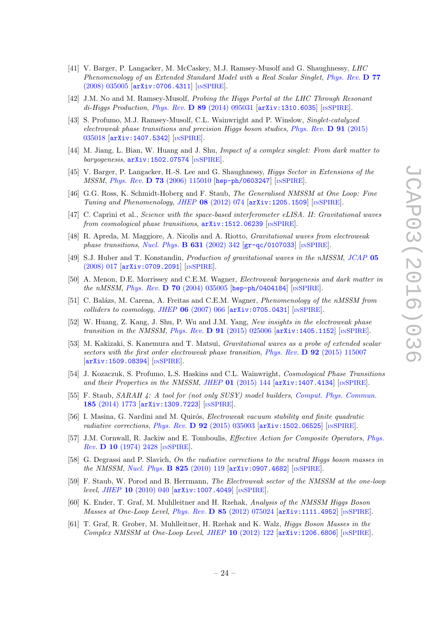- <span id="page-26-0"></span>[41] V. Barger, P. Langacker, M. McCaskey, M.J. Ramsey-Musolf and G. Shaughnessy, LHC Phenomenology of an Extended Standard Model with a Real Scalar Singlet, [Phys. Rev.](http://dx.doi.org/10.1103/PhysRevD.77.035005) D 77 [\(2008\) 035005](http://dx.doi.org/10.1103/PhysRevD.77.035005) [[arXiv:0706.4311](http://arxiv.org/abs/0706.4311)] [IN[SPIRE](http://inspirehep.net/search?p=find+EPRINT+arXiv:0706.4311)].
- <span id="page-26-1"></span>[42] J.M. No and M. Ramsey-Musolf, Probing the Higgs Portal at the LHC Through Resonant di-Higgs Production, Phys. Rev. D 89 [\(2014\) 095031](http://dx.doi.org/10.1103/PhysRevD.89.095031) [[arXiv:1310.6035](http://arxiv.org/abs/1310.6035)] [IN[SPIRE](http://inspirehep.net/search?p=find+EPRINT+arXiv:1310.6035)].
- [43] S. Profumo, M.J. Ramsey-Musolf, C.L. Wainwright and P. Winslow, Singlet-catalyzed electroweak phase transitions and precision Higgs boson studies, [Phys. Rev.](http://dx.doi.org/10.1103/PhysRevD.91.035018)  $\bf{D}$  91 (2015) [035018](http://dx.doi.org/10.1103/PhysRevD.91.035018) [[arXiv:1407.5342](http://arxiv.org/abs/1407.5342)] [IN[SPIRE](http://inspirehep.net/search?p=find+EPRINT+arXiv:1407.5342)].
- <span id="page-26-3"></span><span id="page-26-2"></span>[44] M. Jiang, L. Bian, W. Huang and J. Shu, Impact of a complex singlet: From dark matter to baryogenesis , [arXiv:1502.07574](http://arxiv.org/abs/1502.07574) [IN[SPIRE](http://inspirehep.net/search?p=find+EPRINT+arXiv:1502.07574)].
- [45] V. Barger, P. Langacker, H.-S. Lee and G. Shaughnessy, Higgs Sector in Extensions of the MSSM, Phys. Rev. **D 73** [\(2006\) 115010](http://dx.doi.org/10.1103/PhysRevD.73.115010) [[hep-ph/0603247](http://arxiv.org/abs/hep-ph/0603247)] [IN[SPIRE](http://inspirehep.net/search?p=find+EPRINT+hep-ph/0603247)].
- <span id="page-26-4"></span>[46] G.G. Ross, K. Schmidt-Hoberg and F. Staub, The Generalised NMSSM at One Loop: Fine Tuning and Phenomenology, JHEP 08 [\(2012\) 074](http://dx.doi.org/10.1007/JHEP08(2012)074) [[arXiv:1205.1509](http://arxiv.org/abs/1205.1509)] [IN[SPIRE](http://inspirehep.net/search?p=find+EPRINT+arXiv:1205.1509)].
- <span id="page-26-5"></span>[47] C. Caprini et al., Science with the space-based interferometer eLISA. II: Gravitational waves from cosmological phase transitions,  $arXiv:1512.06239$  [IN[SPIRE](http://inspirehep.net/search?p=find+EPRINT+arXiv:1512.06239)].
- [48] R. Apreda, M. Maggiore, A. Nicolis and A. Riotto, Gravitational waves from electroweak phase transitions, [Nucl. Phys.](http://dx.doi.org/10.1016/S0550-3213(02)00264-X) **B 631** (2002) 342 [[gr-qc/0107033](http://arxiv.org/abs/gr-qc/0107033)] [IN[SPIRE](http://inspirehep.net/search?p=find+EPRINT+gr-qc/0107033)].
- <span id="page-26-6"></span>[49] S.J. Huber and T. Konstandin, Production of gravitational waves in the nMSSM, [JCAP](http://dx.doi.org/10.1088/1475-7516/2008/05/017) 05 [\(2008\) 017](http://dx.doi.org/10.1088/1475-7516/2008/05/017) [[arXiv:0709.2091](http://arxiv.org/abs/0709.2091)] [IN[SPIRE](http://inspirehep.net/search?p=find+EPRINT+arXiv:0709.2091)].
- [50] A. Menon, D.E. Morrissey and C.E.M. Wagner, Electroweak baryogenesis and dark matter in the nMSSM, Phys. Rev. D 70 [\(2004\) 035005](http://dx.doi.org/10.1103/PhysRevD.70.035005) [[hep-ph/0404184](http://arxiv.org/abs/hep-ph/0404184)] [IN[SPIRE](http://inspirehep.net/search?p=find+EPRINT+hep-ph/0404184)].
- [51] C. Balázs, M. Carena, A. Freitas and C.E.M. Wagner, *Phenomenology of the nMSSM from* colliders to cosmology , JHEP 06 [\(2007\) 066](http://dx.doi.org/10.1088/1126-6708/2007/06/066) [[arXiv:0705.0431](http://arxiv.org/abs/0705.0431)] [IN[SPIRE](http://inspirehep.net/search?p=find+EPRINT+arXiv:0705.0431)].
- <span id="page-26-7"></span>[52] W. Huang, Z. Kang, J. Shu, P. Wu and J.M. Yang, New insights in the electroweak phase transition in the NMSSM, Phys. Rev. D 91 [\(2015\) 025006](http://dx.doi.org/10.1103/PhysRevD.91.025006) [[arXiv:1405.1152](http://arxiv.org/abs/1405.1152)] [IN[SPIRE](http://inspirehep.net/search?p=find+EPRINT+arXiv:1405.1152)].
- <span id="page-26-8"></span>[53] M. Kakizaki, S. Kanemura and T. Matsui, Gravitational waves as a probe of extended scalar sectors with the first order electroweak phase transition, Phys. Rev. **D 92** [\(2015\) 115007](http://dx.doi.org/10.1103/PhysRevD.92.115007) [[arXiv:1509.08394](http://arxiv.org/abs/1509.08394)] [IN[SPIRE](http://inspirehep.net/search?p=find+EPRINT+arXiv:1509.08394)].
- <span id="page-26-9"></span>[54] J. Kozaczuk, S. Profumo, L.S. Haskins and C.L. Wainwright, Cosmological Phase Transitions and their Properties in the NMSSM, JHEP  $01$  [\(2015\) 144](http://dx.doi.org/10.1007/JHEP01(2015)144)  $[\text{arXiv}:1407.4134]$  [IN[SPIRE](http://inspirehep.net/search?p=find+EPRINT+arXiv:1407.4134)].
- <span id="page-26-10"></span>[55] F. Staub, SARAH 4: A tool for (not only SUSY) model builders, [Comput. Phys. Commun.](http://dx.doi.org/10.1016/j.cpc.2014.02.018) 185 [\(2014\) 1773](http://dx.doi.org/10.1016/j.cpc.2014.02.018) [[arXiv:1309.7223](http://arxiv.org/abs/1309.7223)] [IN[SPIRE](http://inspirehep.net/search?p=find+EPRINT+arXiv:1309.7223)].
- [56] I. Masina, G. Nardini and M. Quirós, *Electroweak vacuum stability and finite quadratic* radiative corrections, *Phys. Rev.* **D 92** [\(2015\) 035003](http://dx.doi.org/10.1103/PhysRevD.92.035003) [[arXiv:1502.06525](http://arxiv.org/abs/1502.06525)] [IN[SPIRE](http://inspirehep.net/search?p=find+EPRINT+arXiv:1502.06525)].
- <span id="page-26-11"></span>[57] J.M. Cornwall, R. Jackiw and E. Tomboulis, *Effective Action for Composite Operators*, *[Phys.](http://dx.doi.org/10.1103/PhysRevD.10.2428)* Rev. **D 10** [\(1974\) 2428](http://dx.doi.org/10.1103/PhysRevD.10.2428) [IN[SPIRE](http://inspirehep.net/search?p=find+J+"Phys.Rev.,D10,2428")].
- <span id="page-26-12"></span>[58] G. Degrassi and P. Slavich, On the radiative corrections to the neutral Higgs boson masses in the NMSSM, [Nucl. Phys.](http://dx.doi.org/10.1016/j.nuclphysb.2009.09.018) B 825 (2010) 119 [[arXiv:0907.4682](http://arxiv.org/abs/0907.4682)] [IN[SPIRE](http://inspirehep.net/search?p=find+EPRINT+arXiv:0907.4682)].
- <span id="page-26-13"></span>[59] F. Staub, W. Porod and B. Herrmann, The Electroweak sector of the NMSSM at the one-loop level , JHEP 10 [\(2010\) 040](http://dx.doi.org/10.1007/JHEP10(2010)040) [[arXiv:1007.4049](http://arxiv.org/abs/1007.4049)] [IN[SPIRE](http://inspirehep.net/search?p=find+EPRINT+arXiv:1007.4049)].
- <span id="page-26-14"></span>[60] K. Ender, T. Graf, M. Muhlleitner and H. Rzehak, Analysis of the NMSSM Higgs Boson Masses at One-Loop Level , Phys. Rev. D 85 [\(2012\) 075024](http://dx.doi.org/10.1103/PhysRevD.85.075024) [[arXiv:1111.4952](http://arxiv.org/abs/1111.4952)] [IN[SPIRE](http://inspirehep.net/search?p=find+EPRINT+arXiv:1111.4952)].
- <span id="page-26-15"></span>[61] T. Graf, R. Grober, M. Muhlleitner, H. Rzehak and K. Walz, Higgs Boson Masses in the Complex NMSSM at One-Loop Level, JHEP 10  $(2012)$  122  $[\text{arXiv:1206}.6806]$  [IN[SPIRE](http://inspirehep.net/search?p=find+EPRINT+arXiv:1206.6806)].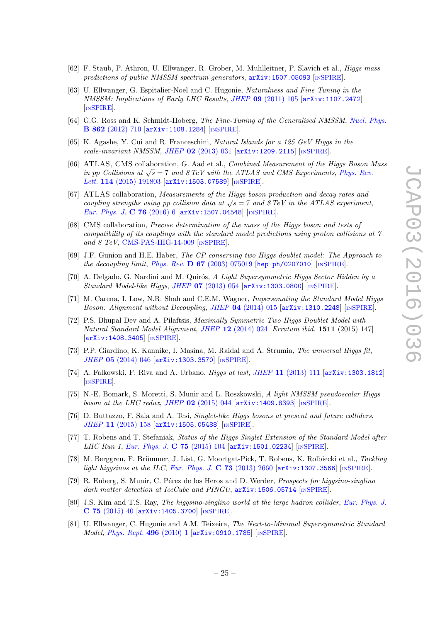- <span id="page-27-0"></span>[62] F. Staub, P. Athron, U. Ellwanger, R. Grober, M. Muhlleitner, P. Slavich et al., Higgs mass predictions of public NMSSM spectrum generators,  $arXiv:1507.05093$  [IN[SPIRE](http://inspirehep.net/search?p=find+EPRINT+arXiv:1507.05093)].
- [63] U. Ellwanger, G. Espitalier-Noel and C. Hugonie, Naturalness and Fine Tuning in the NMSSM: Implications of Early LHC Results, JHEP 09 [\(2011\) 105](http://dx.doi.org/10.1007/JHEP09(2011)105) [[arXiv:1107.2472](http://arxiv.org/abs/1107.2472)] [IN[SPIRE](http://inspirehep.net/search?p=find+EPRINT+arXiv:1107.2472)].
- <span id="page-27-2"></span><span id="page-27-1"></span>[64] G.G. Ross and K. Schmidt-Hoberg, The Fine-Tuning of the Generalised NMSSM, [Nucl. Phys.](http://dx.doi.org/10.1016/j.nuclphysb.2012.05.007) B 862 [\(2012\) 710](http://dx.doi.org/10.1016/j.nuclphysb.2012.05.007) [[arXiv:1108.1284](http://arxiv.org/abs/1108.1284)] [IN[SPIRE](http://inspirehep.net/search?p=find+EPRINT+arXiv:1108.1284)].
- <span id="page-27-3"></span>[65] K. Agashe, Y. Cui and R. Franceschini, Natural Islands for a 125 GeV Higgs in the scale-invariant NMSSM, JHEP 02 [\(2013\) 031](http://dx.doi.org/10.1007/JHEP02(2013)031) [[arXiv:1209.2115](http://arxiv.org/abs/1209.2115)] [IN[SPIRE](http://inspirehep.net/search?p=find+EPRINT+arXiv:1209.2115)].
- <span id="page-27-4"></span>[66] ATLAS, CMS collaboration, G. Aad et al., Combined Measurement of the Higgs Boson Mass in pp Collisions at  $\sqrt{s} = 7$  and 8 TeV with the ATLAS and CMS Experiments, [Phys. Rev.](http://dx.doi.org/10.1103/PhysRevLett.114.191803) Lett.  $114$  [\(2015\) 191803](http://dx.doi.org/10.1103/PhysRevLett.114.191803) [[arXiv:1503.07589](http://arxiv.org/abs/1503.07589)] [IN[SPIRE](http://inspirehep.net/search?p=find+EPRINT+arXiv:1503.07589)].
- [67] ATLAS collaboration, Measurements of the Higgs boson production and decay rates and coupling strengths using pp collision data at  $\sqrt{s} = 7$  and 8 TeV in the ATLAS experiment, *[Eur. Phys. J.](http://dx.doi.org/10.1140/epjc/s10052-015-3769-y)* **C 76** (2016) 6  $[\text{arXiv:1507.04548}]$  $[\text{arXiv:1507.04548}]$  $[\text{arXiv:1507.04548}]$   $[\text{insPIRE}]$ .
- <span id="page-27-5"></span>[68] CMS collaboration, Precise determination of the mass of the Higgs boson and tests of compatibility of its couplings with the standard model predictions using proton collisions at 7 and 8 TeV, [CMS-PAS-HIG-14-009](http://dx.doi.org/10.1140/epjc/s10052-015-3351-7) [IN[SPIRE](http://inspirehep.net/search?p=find+Khachatryan:2014jba)].
- [69] J.F. Gunion and H.E. Haber, The CP conserving two Higgs doublet model: The Approach to the decoupling limit, Phys. Rev. D  $67$  [\(2003\) 075019](http://dx.doi.org/10.1103/PhysRevD.67.075019) [[hep-ph/0207010](http://arxiv.org/abs/hep-ph/0207010)] [IN[SPIRE](http://inspirehep.net/search?p=find+EPRINT+hep-ph/0207010)].
- [70] A. Delgado, G. Nardini and M. Quirós, A Light Supersymmetric Higgs Sector Hidden by a Standard Model-like Higgs, JHEP 07 [\(2013\) 054](http://dx.doi.org/10.1007/JHEP07(2013)054) [[arXiv:1303.0800](http://arxiv.org/abs/1303.0800)] [IN[SPIRE](http://inspirehep.net/search?p=find+EPRINT+arXiv:1303.0800)].
- [71] M. Carena, I. Low, N.R. Shah and C.E.M. Wagner, Impersonating the Standard Model Higgs Boson: Alignment without Decoupling, JHEP 04 [\(2014\) 015](http://dx.doi.org/10.1007/JHEP04(2014)015) [[arXiv:1310.2248](http://arxiv.org/abs/1310.2248)] [IN[SPIRE](http://inspirehep.net/search?p=find+EPRINT+arXiv:1310.2248)].
- [72] P.S. Bhupal Dev and A. Pilaftsis, Maximally Symmetric Two Higgs Doublet Model with Natural Standard Model Alignment , JHEP 12 [\(2014\) 024](http://dx.doi.org/10.1007/JHEP12(2014)024) [Erratum ibid. 1511 (2015) 147] [[arXiv:1408.3405](http://arxiv.org/abs/1408.3405)] [IN[SPIRE](http://inspirehep.net/search?p=find+EPRINT+arXiv:1408.3405)].
- <span id="page-27-6"></span>[73] P.P. Giardino, K. Kannike, I. Masina, M. Raidal and A. Strumia, The universal Higgs fit, JHEP 05 [\(2014\) 046](http://dx.doi.org/10.1007/JHEP05(2014)046) [[arXiv:1303.3570](http://arxiv.org/abs/1303.3570)] [IN[SPIRE](http://inspirehep.net/search?p=find+EPRINT+arXiv:1303.3570)].
- <span id="page-27-7"></span>[74] A. Falkowski, F. Riva and A. Urbano, *Higgs at last, JHEP* 11 [\(2013\) 111](http://dx.doi.org/10.1007/JHEP11(2013)111) [[arXiv:1303.1812](http://arxiv.org/abs/1303.1812)] [IN[SPIRE](http://inspirehep.net/search?p=find+EPRINT+arXiv:1303.1812)].
- <span id="page-27-8"></span>[75] N.-E. Bomark, S. Moretti, S. Munir and L. Roszkowski, A light NMSSM pseudoscalar Higgs boson at the LHC redux, JHEP 02 [\(2015\) 044](http://dx.doi.org/10.1007/JHEP02(2015)044) [[arXiv:1409.8393](http://arxiv.org/abs/1409.8393)] [IN[SPIRE](http://inspirehep.net/search?p=find+EPRINT+arXiv:1409.8393)].
- <span id="page-27-9"></span>[76] D. Buttazzo, F. Sala and A. Tesi, Singlet-like Higgs bosons at present and future colliders , JHEP 11 [\(2015\) 158](http://dx.doi.org/10.1007/JHEP11(2015)158) [[arXiv:1505.05488](http://arxiv.org/abs/1505.05488)] [IN[SPIRE](http://inspirehep.net/search?p=find+EPRINT+arXiv:1505.05488)].
- <span id="page-27-10"></span>[77] T. Robens and T. Stefaniak, Status of the Higgs Singlet Extension of the Standard Model after LHC Run 1, [Eur. Phys. J.](http://dx.doi.org/10.1140/epjc/s10052-015-3323-y) C 75 (2015) 104 [[arXiv:1501.02234](http://arxiv.org/abs/1501.02234)] [IN[SPIRE](http://inspirehep.net/search?p=find+EPRINT+arXiv:1501.02234)].
- [78] M. Berggren, F. Brümmer, J. List, G. Moortgat-Pick, T. Robens, K. Rolbiecki et al., Tackling light higgsinos at the ILC, [Eur. Phys. J.](http://dx.doi.org/10.1140/epjc/s10052-013-2660-y)  $C$  73 (2013) 2660 [[arXiv:1307.3566](http://arxiv.org/abs/1307.3566)] [IN[SPIRE](http://inspirehep.net/search?p=find+EPRINT+arXiv:1307.3566)].
- <span id="page-27-11"></span>[79] R. Enberg, S. Munir, C. Pérez de los Heros and D. Werder, *Prospects for higgsino-singlino* dark matter detection at IceCube and PINGU,  $arXiv:1506.05714$  [IN[SPIRE](http://inspirehep.net/search?p=find+EPRINT+arXiv:1506.05714)].
- <span id="page-27-12"></span>[80] J.S. Kim and T.S. Ray, The higgsino-singlino world at the large hadron collider, [Eur. Phys. J.](http://dx.doi.org/10.1140/epjc/s10052-015-3281-4) C 75 [\(2015\) 40](http://dx.doi.org/10.1140/epjc/s10052-015-3281-4) [[arXiv:1405.3700](http://arxiv.org/abs/1405.3700)] [IN[SPIRE](http://inspirehep.net/search?p=find+EPRINT+arXiv:1405.3700)].
- <span id="page-27-13"></span>[81] U. Ellwanger, C. Hugonie and A.M. Teixeira, The Next-to-Minimal Supersymmetric Standard Model, [Phys. Rept.](http://dx.doi.org/10.1016/j.physrep.2010.07.001) 496 (2010) 1 [[arXiv:0910.1785](http://arxiv.org/abs/0910.1785)] [IN[SPIRE](http://inspirehep.net/search?p=find+EPRINT+arXiv:0910.1785)].